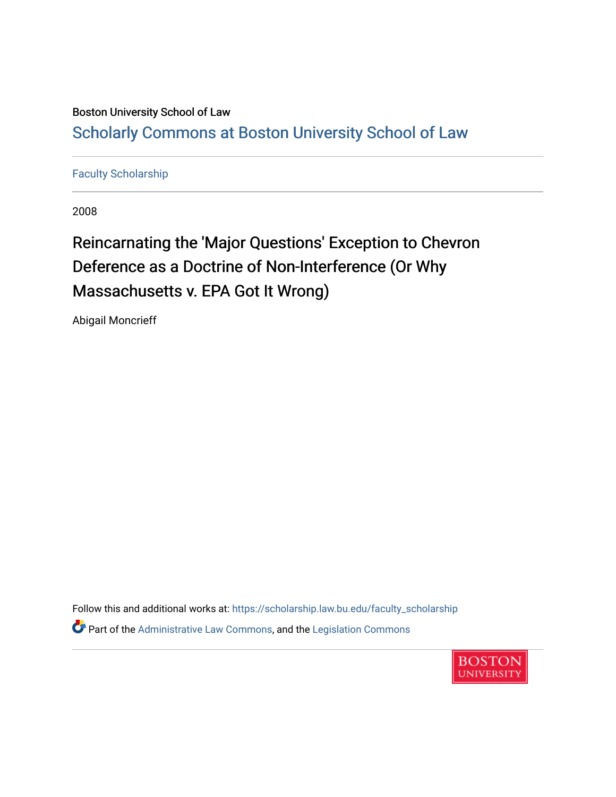## Boston University School of Law [Scholarly Commons at Boston University School of Law](https://scholarship.law.bu.edu/)

## [Faculty Scholarship](https://scholarship.law.bu.edu/faculty_scholarship)

2008

## Reincarnating the 'Major Questions' Exception to Chevron Deference as a Doctrine of Non-Interference (Or Why Massachusetts v. EPA Got It Wrong)

Abigail Moncrieff

Follow this and additional works at: [https://scholarship.law.bu.edu/faculty\\_scholarship](https://scholarship.law.bu.edu/faculty_scholarship?utm_source=scholarship.law.bu.edu%2Ffaculty_scholarship%2F734&utm_medium=PDF&utm_campaign=PDFCoverPages) Part of the [Administrative Law Commons,](http://network.bepress.com/hgg/discipline/579?utm_source=scholarship.law.bu.edu%2Ffaculty_scholarship%2F734&utm_medium=PDF&utm_campaign=PDFCoverPages) and the [Legislation Commons](http://network.bepress.com/hgg/discipline/859?utm_source=scholarship.law.bu.edu%2Ffaculty_scholarship%2F734&utm_medium=PDF&utm_campaign=PDFCoverPages) 

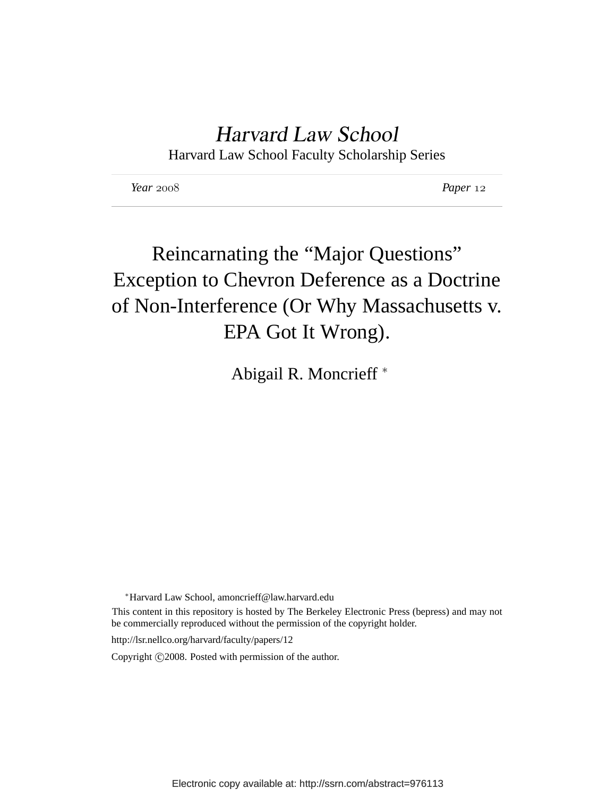## Harvard Law School

Harvard Law School Faculty Scholarship Series

*Year Paper*

# Reincarnating the "Major Questions" Exception to Chevron Deference as a Doctrine of Non-Interference (Or Why Massachusetts v. EPA Got It Wrong).

Abigail R. Moncrieff <sup>∗</sup>

<sup>∗</sup>Harvard Law School, amoncrieff@law.harvard.edu

This content in this repository is hosted by The Berkeley Electronic Press (bepress) and may not be commercially reproduced without the permission of the copyright holder.

http://lsr.nellco.org/harvard/faculty/papers/12

Copyright ( $c$ ) 2008. Posted with permission of the author.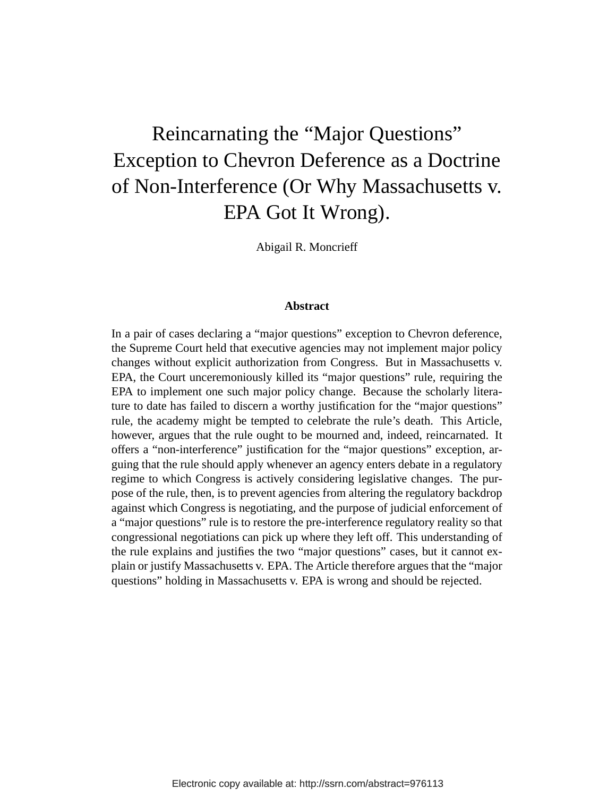# Reincarnating the "Major Questions" Exception to Chevron Deference as a Doctrine of Non-Interference (Or Why Massachusetts v. EPA Got It Wrong).

Abigail R. Moncrieff

#### **Abstract**

In a pair of cases declaring a "major questions" exception to Chevron deference, the Supreme Court held that executive agencies may not implement major policy changes without explicit authorization from Congress. But in Massachusetts v. EPA, the Court unceremoniously killed its "major questions" rule, requiring the EPA to implement one such major policy change. Because the scholarly literature to date has failed to discern a worthy justification for the "major questions" rule, the academy might be tempted to celebrate the rule's death. This Article, however, argues that the rule ought to be mourned and, indeed, reincarnated. It offers a "non-interference" justification for the "major questions" exception, arguing that the rule should apply whenever an agency enters debate in a regulatory regime to which Congress is actively considering legislative changes. The purpose of the rule, then, is to prevent agencies from altering the regulatory backdrop against which Congress is negotiating, and the purpose of judicial enforcement of a "major questions" rule is to restore the pre-interference regulatory reality so that congressional negotiations can pick up where they left off. This understanding of the rule explains and justifies the two "major questions" cases, but it cannot explain or justify Massachusetts v. EPA. The Article therefore argues that the "major questions" holding in Massachusetts v. EPA is wrong and should be rejected.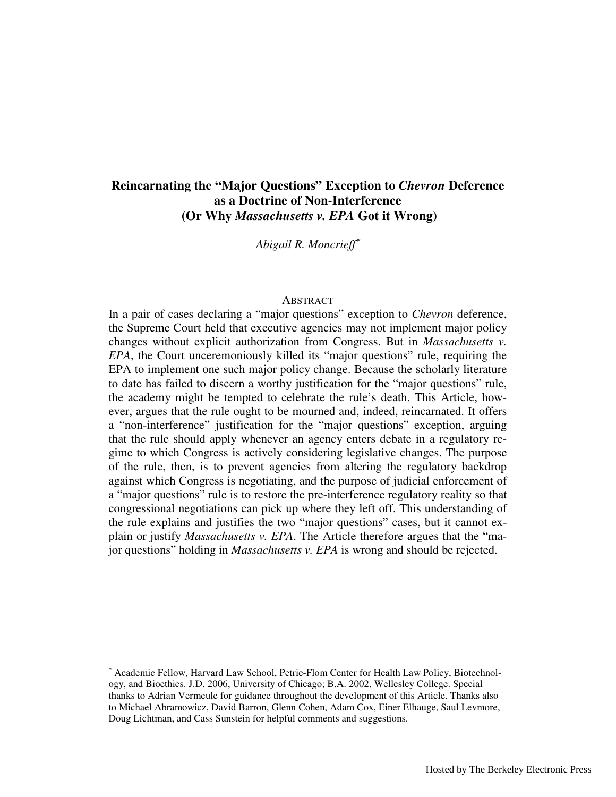## **Reincarnating the "Major Questions" Exception to** *Chevron* **Deference as a Doctrine of Non-Interference (Or Why** *Massachusetts v. EPA* **Got it Wrong)**

*Abigail R. Moncrieff*<sup>∗</sup>

#### ABSTRACT

In a pair of cases declaring a "major questions" exception to *Chevron* deference, the Supreme Court held that executive agencies may not implement major policy changes without explicit authorization from Congress. But in *Massachusetts v. EPA*, the Court unceremoniously killed its "major questions" rule, requiring the EPA to implement one such major policy change. Because the scholarly literature to date has failed to discern a worthy justification for the "major questions" rule, the academy might be tempted to celebrate the rule's death. This Article, however, argues that the rule ought to be mourned and, indeed, reincarnated. It offers a "non-interference" justification for the "major questions" exception, arguing that the rule should apply whenever an agency enters debate in a regulatory regime to which Congress is actively considering legislative changes. The purpose of the rule, then, is to prevent agencies from altering the regulatory backdrop against which Congress is negotiating, and the purpose of judicial enforcement of a "major questions" rule is to restore the pre-interference regulatory reality so that congressional negotiations can pick up where they left off. This understanding of the rule explains and justifies the two "major questions" cases, but it cannot explain or justify *Massachusetts v. EPA*. The Article therefore argues that the "major questions" holding in *Massachusetts v. EPA* is wrong and should be rejected.

-

<sup>∗</sup> Academic Fellow, Harvard Law School, Petrie-Flom Center for Health Law Policy, Biotechnology, and Bioethics. J.D. 2006, University of Chicago; B.A. 2002, Wellesley College. Special thanks to Adrian Vermeule for guidance throughout the development of this Article. Thanks also to Michael Abramowicz, David Barron, Glenn Cohen, Adam Cox, Einer Elhauge, Saul Levmore, Doug Lichtman, and Cass Sunstein for helpful comments and suggestions.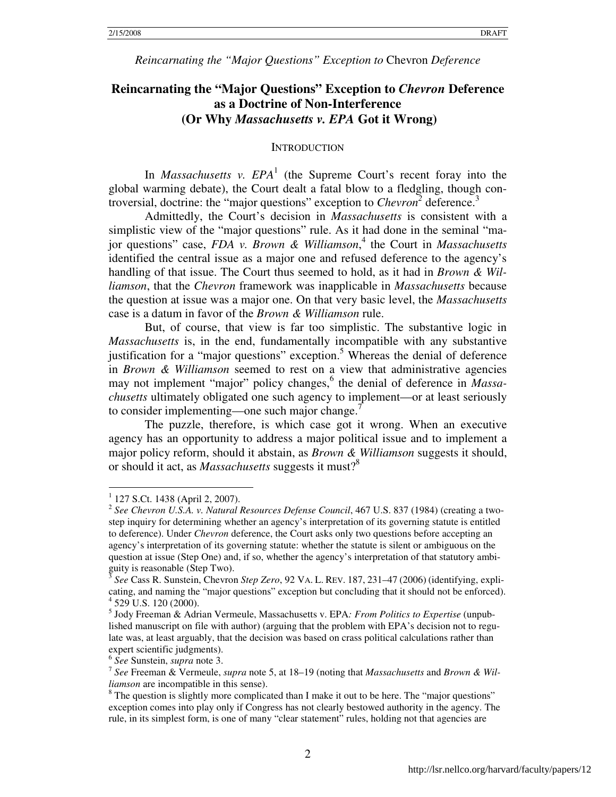## **Reincarnating the "Major Questions" Exception to** *Chevron* **Deference as a Doctrine of Non-Interference (Or Why** *Massachusetts v. EPA* **Got it Wrong)**

#### **INTRODUCTION**

In *Massachusetts v. EPA*<sup>1</sup> (the Supreme Court's recent foray into the global warming debate), the Court dealt a fatal blow to a fledgling, though controversial, doctrine: the "major questions" exception to *Chevron*<sup>2</sup> deference.<sup>3</sup>

Admittedly, the Court's decision in *Massachusetts* is consistent with a simplistic view of the "major questions" rule. As it had done in the seminal "major questions" case, *FDA v. Brown & Williamson*, 4 the Court in *Massachusetts* identified the central issue as a major one and refused deference to the agency's handling of that issue. The Court thus seemed to hold, as it had in *Brown & Williamson*, that the *Chevron* framework was inapplicable in *Massachusetts* because the question at issue was a major one. On that very basic level, the *Massachusetts*  case is a datum in favor of the *Brown & Williamson* rule.

But, of course, that view is far too simplistic. The substantive logic in *Massachusetts* is, in the end, fundamentally incompatible with any substantive justification for a "major questions" exception.<sup>5</sup> Whereas the denial of deference in *Brown & Williamson* seemed to rest on a view that administrative agencies may not implement "major" policy changes, <sup>6</sup> the denial of deference in *Massachusetts* ultimately obligated one such agency to implement—or at least seriously to consider implementing—one such major change. $\frac{7}{2}$ 

The puzzle, therefore, is which case got it wrong. When an executive agency has an opportunity to address a major political issue and to implement a major policy reform, should it abstain, as *Brown & Williamson* suggests it should, or should it act, as *Massachusetts* suggests it must?<sup>8</sup>

 1 127 S.Ct. 1438 (April 2, 2007).

<sup>2</sup> *See Chevron U.S.A. v. Natural Resources Defense Council*, 467 U.S. 837 (1984) (creating a twostep inquiry for determining whether an agency's interpretation of its governing statute is entitled to deference). Under *Chevron* deference, the Court asks only two questions before accepting an agency's interpretation of its governing statute: whether the statute is silent or ambiguous on the question at issue (Step One) and, if so, whether the agency's interpretation of that statutory ambiguity is reasonable (Step Two).

<sup>3</sup> *See* Cass R. Sunstein, Chevron *Step Zero*, 92 VA. L. REV. 187, 231–47 (2006) (identifying, explicating, and naming the "major questions" exception but concluding that it should not be enforced). 4 529 U.S. 120 (2000).

<sup>5</sup> Jody Freeman & Adrian Vermeule, Massachusetts v. EPA*: From Politics to Expertise* (unpublished manuscript on file with author) (arguing that the problem with EPA's decision not to regulate was, at least arguably, that the decision was based on crass political calculations rather than expert scientific judgments).

<sup>6</sup> *See* Sunstein, *supra* note 3.

<sup>7</sup> *See* Freeman & Vermeule, *supra* note 5, at 18–19 (noting that *Massachusetts* and *Brown & Williamson* are incompatible in this sense).

 $8$  The question is slightly more complicated than I make it out to be here. The "major questions" exception comes into play only if Congress has not clearly bestowed authority in the agency. The rule, in its simplest form, is one of many "clear statement" rules, holding not that agencies are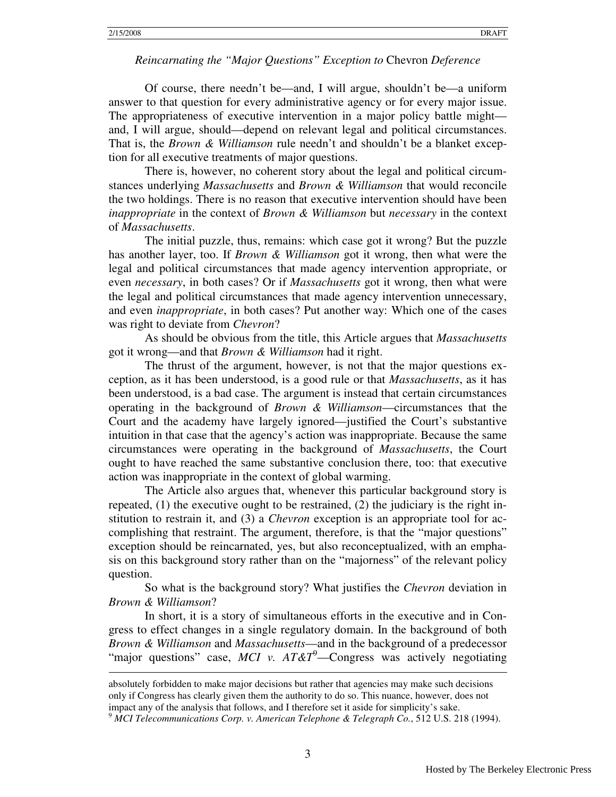$\overline{a}$ 

#### *Reincarnating the "Major Questions" Exception to* Chevron *Deference*

Of course, there needn't be—and, I will argue, shouldn't be—a uniform answer to that question for every administrative agency or for every major issue. The appropriateness of executive intervention in a major policy battle might and, I will argue, should—depend on relevant legal and political circumstances. That is, the *Brown & Williamson* rule needn't and shouldn't be a blanket exception for all executive treatments of major questions.

There is, however, no coherent story about the legal and political circumstances underlying *Massachusetts* and *Brown & Williamson* that would reconcile the two holdings. There is no reason that executive intervention should have been *inappropriate* in the context of *Brown & Williamson* but *necessary* in the context of *Massachusetts*.

The initial puzzle, thus, remains: which case got it wrong? But the puzzle has another layer, too. If *Brown & Williamson* got it wrong, then what were the legal and political circumstances that made agency intervention appropriate, or even *necessary*, in both cases? Or if *Massachusetts* got it wrong, then what were the legal and political circumstances that made agency intervention unnecessary, and even *inappropriate*, in both cases? Put another way: Which one of the cases was right to deviate from *Chevron*?

As should be obvious from the title, this Article argues that *Massachusetts* got it wrong—and that *Brown & Williamson* had it right.

The thrust of the argument, however, is not that the major questions exception, as it has been understood, is a good rule or that *Massachusetts*, as it has been understood, is a bad case. The argument is instead that certain circumstances operating in the background of *Brown & Williamson*—circumstances that the Court and the academy have largely ignored—justified the Court's substantive intuition in that case that the agency's action was inappropriate. Because the same circumstances were operating in the background of *Massachusetts*, the Court ought to have reached the same substantive conclusion there, too: that executive action was inappropriate in the context of global warming.

The Article also argues that, whenever this particular background story is repeated,  $(1)$  the executive ought to be restrained,  $(2)$  the judiciary is the right institution to restrain it, and (3) a *Chevron* exception is an appropriate tool for accomplishing that restraint. The argument, therefore, is that the "major questions" exception should be reincarnated, yes, but also reconceptualized, with an emphasis on this background story rather than on the "majorness" of the relevant policy question.

So what is the background story? What justifies the *Chevron* deviation in *Brown & Williamson*?

In short, it is a story of simultaneous efforts in the executive and in Congress to effect changes in a single regulatory domain. In the background of both *Brown & Williamson* and *Massachusetts*—and in the background of a predecessor "major questions" case, *MCI* v. AT&T<sup>9</sup>—Congress was actively negotiating

absolutely forbidden to make major decisions but rather that agencies may make such decisions only if Congress has clearly given them the authority to do so. This nuance, however, does not impact any of the analysis that follows, and I therefore set it aside for simplicity's sake.

<sup>9</sup> *MCI Telecommunications Corp. v. American Telephone & Telegraph Co.*, 512 U.S. 218 (1994).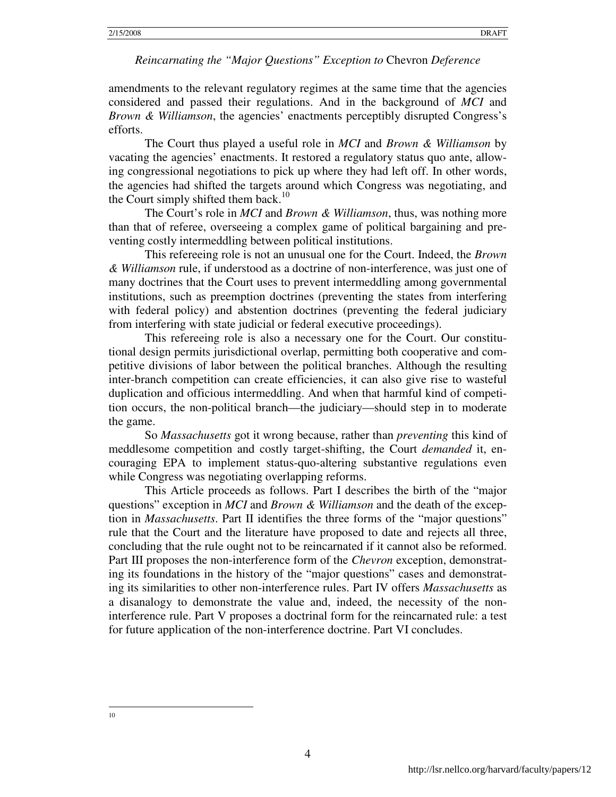amendments to the relevant regulatory regimes at the same time that the agencies considered and passed their regulations. And in the background of *MCI* and *Brown & Williamson*, the agencies' enactments perceptibly disrupted Congress's efforts.

The Court thus played a useful role in *MCI* and *Brown & Williamson* by vacating the agencies' enactments. It restored a regulatory status quo ante, allowing congressional negotiations to pick up where they had left off. In other words, the agencies had shifted the targets around which Congress was negotiating, and the Court simply shifted them back.<sup>10</sup>

The Court's role in *MCI* and *Brown & Williamson*, thus, was nothing more than that of referee, overseeing a complex game of political bargaining and preventing costly intermeddling between political institutions.

This refereeing role is not an unusual one for the Court. Indeed, the *Brown & Williamson* rule, if understood as a doctrine of non-interference, was just one of many doctrines that the Court uses to prevent intermeddling among governmental institutions, such as preemption doctrines (preventing the states from interfering with federal policy) and abstention doctrines (preventing the federal judiciary from interfering with state judicial or federal executive proceedings).

This refereeing role is also a necessary one for the Court. Our constitutional design permits jurisdictional overlap, permitting both cooperative and competitive divisions of labor between the political branches. Although the resulting inter-branch competition can create efficiencies, it can also give rise to wasteful duplication and officious intermeddling. And when that harmful kind of competition occurs, the non-political branch—the judiciary—should step in to moderate the game.

So *Massachusetts* got it wrong because, rather than *preventing* this kind of meddlesome competition and costly target-shifting, the Court *demanded* it, encouraging EPA to implement status-quo-altering substantive regulations even while Congress was negotiating overlapping reforms.

This Article proceeds as follows. Part I describes the birth of the "major questions" exception in *MCI* and *Brown & Williamson* and the death of the exception in *Massachusetts*. Part II identifies the three forms of the "major questions" rule that the Court and the literature have proposed to date and rejects all three, concluding that the rule ought not to be reincarnated if it cannot also be reformed. Part III proposes the non-interference form of the *Chevron* exception, demonstrating its foundations in the history of the "major questions" cases and demonstrating its similarities to other non-interference rules. Part IV offers *Massachusetts* as a disanalogy to demonstrate the value and, indeed, the necessity of the noninterference rule. Part V proposes a doctrinal form for the reincarnated rule: a test for future application of the non-interference doctrine. Part VI concludes.

10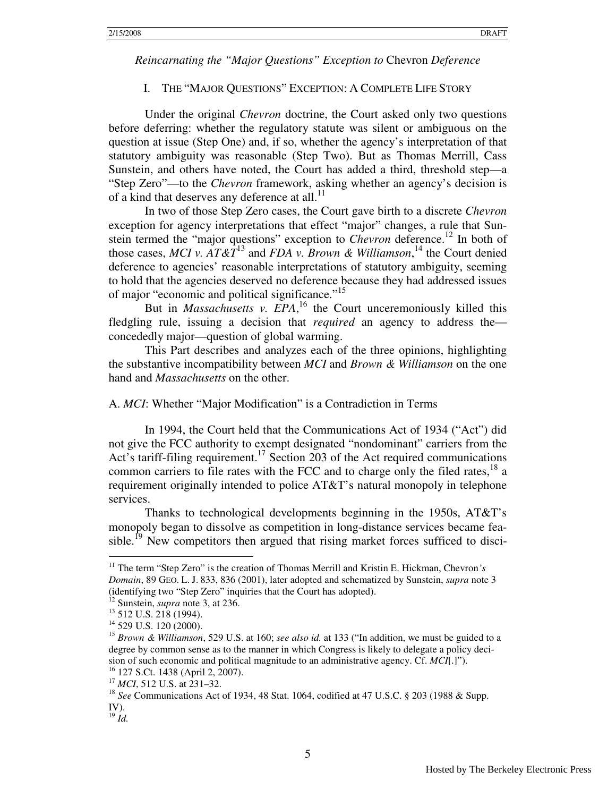#### I. THE "MAJOR QUESTIONS" EXCEPTION: A COMPLETE LIFE STORY

Under the original *Chevron* doctrine, the Court asked only two questions before deferring: whether the regulatory statute was silent or ambiguous on the question at issue (Step One) and, if so, whether the agency's interpretation of that statutory ambiguity was reasonable (Step Two). But as Thomas Merrill, Cass Sunstein, and others have noted, the Court has added a third, threshold step—a "Step Zero"—to the *Chevron* framework, asking whether an agency's decision is of a kind that deserves any deference at all.<sup>11</sup>

In two of those Step Zero cases, the Court gave birth to a discrete *Chevron* exception for agency interpretations that effect "major" changes, a rule that Sunstein termed the "major questions" exception to *Chevron* deference.<sup>12</sup> In both of those cases, *MCI v.*  $AT\&T^{13}$  and *FDA v. Brown & Williamson*,<sup>14</sup> the Court denied deference to agencies' reasonable interpretations of statutory ambiguity, seeming to hold that the agencies deserved no deference because they had addressed issues of major "economic and political significance."<sup>15</sup>

But in *Massachusetts v. EPA*,<sup>16</sup> the Court unceremoniously killed this fledgling rule, issuing a decision that *required* an agency to address the concededly major—question of global warming.

This Part describes and analyzes each of the three opinions, highlighting the substantive incompatibility between *MCI* and *Brown & Williamson* on the one hand and *Massachusetts* on the other.

#### A. *MCI*: Whether "Major Modification" is a Contradiction in Terms

 In 1994, the Court held that the Communications Act of 1934 ("Act") did not give the FCC authority to exempt designated "nondominant" carriers from the Act's tariff-filing requirement.<sup>17</sup> Section 203 of the Act required communications common carriers to file rates with the FCC and to charge only the filed rates.<sup>18</sup> a requirement originally intended to police AT&T's natural monopoly in telephone services.

Thanks to technological developments beginning in the 1950s, AT&T's monopoly began to dissolve as competition in long-distance services became feasible.<sup>19</sup> New competitors then argued that rising market forces sufficed to disci-

<sup>11</sup> The term "Step Zero" is the creation of Thomas Merrill and Kristin E. Hickman, Chevron*'s Domain*, 89 GEO. L. J. 833, 836 (2001), later adopted and schematized by Sunstein, *supra* note 3 (identifying two "Step Zero" inquiries that the Court has adopted).

<sup>&</sup>lt;sup>12</sup> Sunstein, *supra* note 3, at 236.

<sup>&</sup>lt;sup>13</sup> 512 U.S. 218 (1994).

<sup>&</sup>lt;sup>14</sup> 529 U.S. 120 (2000).

<sup>15</sup> *Brown & Williamson*, 529 U.S. at 160; *see also id.* at 133 ("In addition, we must be guided to a degree by common sense as to the manner in which Congress is likely to delegate a policy decision of such economic and political magnitude to an administrative agency. Cf. *MCI*[.]"). <sup>16</sup> 127 S.Ct. 1438 (April 2, 2007).

<sup>17</sup> *MCI*, 512 U.S. at 231–32.

<sup>18</sup> *See* Communications Act of 1934, 48 Stat. 1064, codified at 47 U.S.C. § 203 (1988 & Supp. IV).

<sup>19</sup> *Id.*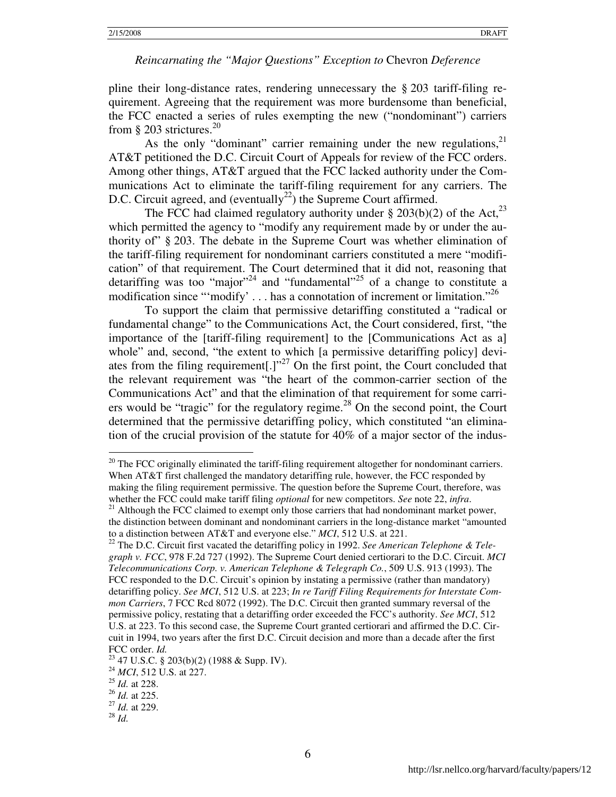pline their long-distance rates, rendering unnecessary the § 203 tariff-filing requirement. Agreeing that the requirement was more burdensome than beneficial, the FCC enacted a series of rules exempting the new ("nondominant") carriers from § 203 strictures.<sup>20</sup>

As the only "dominant" carrier remaining under the new regulations, $2<sup>1</sup>$ AT&T petitioned the D.C. Circuit Court of Appeals for review of the FCC orders. Among other things, AT&T argued that the FCC lacked authority under the Communications Act to eliminate the tariff-filing requirement for any carriers. The D.C. Circuit agreed, and (eventually<sup>22</sup>) the Supreme Court affirmed.

The FCC had claimed regulatory authority under  $\S 203(b)(2)$  of the Act,<sup>23</sup> which permitted the agency to "modify any requirement made by or under the authority of" § 203. The debate in the Supreme Court was whether elimination of the tariff-filing requirement for nondominant carriers constituted a mere "modification" of that requirement. The Court determined that it did not, reasoning that detariffing was too "major"<sup>24</sup> and "fundamental"<sup>25</sup> of a change to constitute a modification since "'modify'  $\dots$  has a connotation of increment or limitation."<sup>26</sup>

To support the claim that permissive detariffing constituted a "radical or fundamental change" to the Communications Act, the Court considered, first, "the importance of the [tariff-filing requirement] to the [Communications Act as a] whole" and, second, "the extent to which [a permissive detariffing policy] deviates from the filing requirement[.] $v^{27}$  On the first point, the Court concluded that the relevant requirement was "the heart of the common-carrier section of the Communications Act" and that the elimination of that requirement for some carriers would be "tragic" for the regulatory regime. $^{28}$  On the second point, the Court determined that the permissive detariffing policy, which constituted "an elimination of the crucial provision of the statute for  $40\%$  of a major sector of the indus-

-

 $20$  The FCC originally eliminated the tariff-filing requirement altogether for nondominant carriers. When AT&T first challenged the mandatory detariffing rule, however, the FCC responded by making the filing requirement permissive. The question before the Supreme Court, therefore, was whether the FCC could make tariff filing *optional* for new competitors. *See* note 22, *infra*.

 $21$  Although the FCC claimed to exempt only those carriers that had nondominant market power, the distinction between dominant and nondominant carriers in the long-distance market "amounted to a distinction between AT&T and everyone else." *MCI*, 512 U.S. at 221.

<sup>22</sup> The D.C. Circuit first vacated the detariffing policy in 1992. *See American Telephone & Telegraph v. FCC*, 978 F.2d 727 (1992). The Supreme Court denied certiorari to the D.C. Circuit. *MCI Telecommunications Corp. v. American Telephone & Telegraph Co.*, 509 U.S. 913 (1993). The FCC responded to the D.C. Circuit's opinion by instating a permissive (rather than mandatory) detariffing policy. *See MCI*, 512 U.S. at 223; *In re Tariff Filing Requirements for Interstate Common Carriers*, 7 FCC Rcd 8072 (1992). The D.C. Circuit then granted summary reversal of the permissive policy, restating that a detariffing order exceeded the FCC's authority. *See MCI*, 512 U.S. at 223. To this second case, the Supreme Court granted certiorari and affirmed the D.C. Circuit in 1994, two years after the first D.C. Circuit decision and more than a decade after the first FCC order. *Id.*

 $23$  47 U.S.C. § 203(b)(2) (1988 & Supp. IV).

<sup>24</sup> *MCI*, 512 U.S. at 227.

<sup>25</sup> *Id.* at 228.

<sup>26</sup> *Id.* at 225.

<sup>27</sup> *Id.* at 229.

<sup>28</sup> *Id.*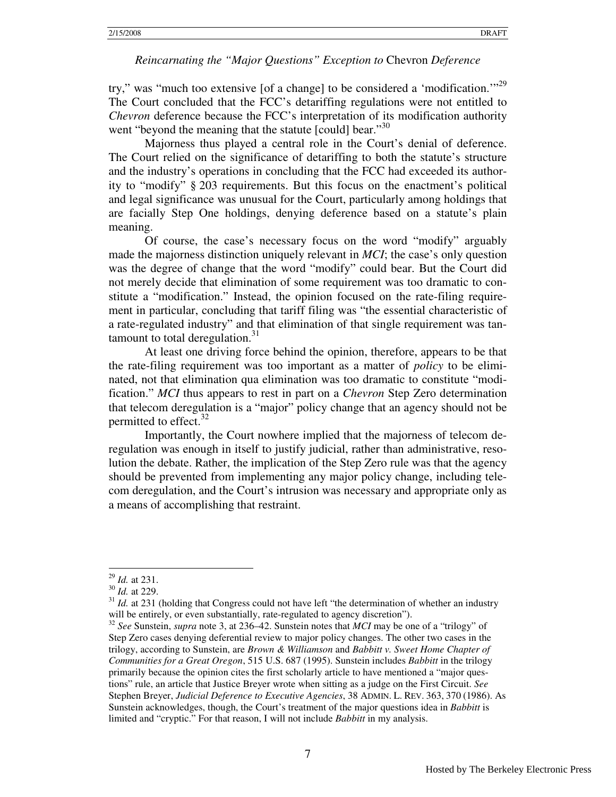try," was "much too extensive [of a change] to be considered a 'modification."<sup>29</sup> The Court concluded that the FCC's detariffing regulations were not entitled to *Chevron* deference because the FCC's interpretation of its modification authority went "beyond the meaning that the statute [could] bear."<sup>30</sup>

Majorness thus played a central role in the Court's denial of deference. The Court relied on the significance of detariffing to both the statute's structure and the industry's operations in concluding that the FCC had exceeded its authority to "modify" § 203 requirements. But this focus on the enactment's political and legal significance was unusual for the Court, particularly among holdings that are facially Step One holdings, denying deference based on a statute's plain meaning.

Of course, the case's necessary focus on the word "modify" arguably made the majorness distinction uniquely relevant in *MCI*; the case's only question was the degree of change that the word "modify" could bear. But the Court did not merely decide that elimination of some requirement was too dramatic to constitute a "modification." Instead, the opinion focused on the rate-filing requirement in particular, concluding that tariff filing was "the essential characteristic of a rate-regulated industry" and that elimination of that single requirement was tantamount to total deregulation. $31$ 

At least one driving force behind the opinion, therefore, appears to be that the rate-filing requirement was too important as a matter of *policy* to be eliminated, not that elimination qua elimination was too dramatic to constitute "modification." *MCI* thus appears to rest in part on a *Chevron* Step Zero determination that telecom deregulation is a "major" policy change that an agency should not be permitted to effect.<sup>32</sup>

Importantly, the Court nowhere implied that the majorness of telecom deregulation was enough in itself to justify judicial, rather than administrative, resolution the debate. Rather, the implication of the Step Zero rule was that the agency should be prevented from implementing any major policy change, including telecom deregulation, and the Court's intrusion was necessary and appropriate only as a means of accomplishing that restraint.

<u>.</u>

<sup>29</sup> *Id.* at 231.

<sup>30</sup> *Id.* at 229.

<sup>&</sup>lt;sup>31</sup> *Id.* at 231 (holding that Congress could not have left "the determination of whether an industry will be entirely, or even substantially, rate-regulated to agency discretion").

<sup>32</sup> *See* Sunstein, *supra* note 3, at 236–42. Sunstein notes that *MCI* may be one of a "trilogy" of Step Zero cases denying deferential review to major policy changes. The other two cases in the trilogy, according to Sunstein, are *Brown & Williamson* and *Babbitt v. Sweet Home Chapter of Communities for a Great Oregon*, 515 U.S. 687 (1995). Sunstein includes *Babbitt* in the trilogy primarily because the opinion cites the first scholarly article to have mentioned a "major questions" rule, an article that Justice Breyer wrote when sitting as a judge on the First Circuit. *See*  Stephen Breyer, *Judicial Deference to Executive Agencies*, 38 ADMIN. L. REV. 363, 370 (1986). As Sunstein acknowledges, though, the Court's treatment of the major questions idea in *Babbitt* is limited and "cryptic." For that reason, I will not include *Babbitt* in my analysis.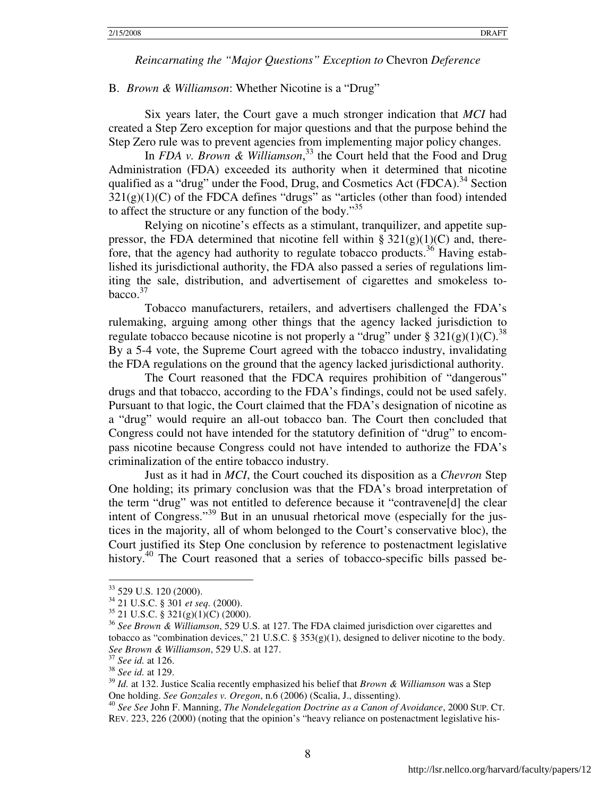#### B. *Brown & Williamson*: Whether Nicotine is a "Drug"

 Six years later, the Court gave a much stronger indication that *MCI* had created a Step Zero exception for major questions and that the purpose behind the Step Zero rule was to prevent agencies from implementing major policy changes.

In *FDA v. Brown & Williamson*, <sup>33</sup> the Court held that the Food and Drug Administration (FDA) exceeded its authority when it determined that nicotine qualified as a "drug" under the Food, Drug, and Cosmetics Act (FDCA).<sup>34</sup> Section  $321(g)(1)(C)$  of the FDCA defines "drugs" as "articles (other than food) intended to affect the structure or any function of the body."<sup>35</sup>

Relying on nicotine's effects as a stimulant, tranquilizer, and appetite suppressor, the FDA determined that nicotine fell within §  $321(g)(1)(C)$  and, therefore, that the agency had authority to regulate tobacco products.<sup>36</sup> Having established its jurisdictional authority, the FDA also passed a series of regulations limiting the sale, distribution, and advertisement of cigarettes and smokeless tobacco.<sup>37</sup>

 Tobacco manufacturers, retailers, and advertisers challenged the FDA's rulemaking, arguing among other things that the agency lacked jurisdiction to regulate tobacco because nicotine is not properly a "drug" under §  $321(g)(1)(C)$ .<sup>38</sup> By a 5-4 vote, the Supreme Court agreed with the tobacco industry, invalidating the FDA regulations on the ground that the agency lacked jurisdictional authority.

The Court reasoned that the FDCA requires prohibition of "dangerous" drugs and that tobacco, according to the FDA's findings, could not be used safely. Pursuant to that logic, the Court claimed that the FDA's designation of nicotine as a "drug" would require an all-out tobacco ban. The Court then concluded that Congress could not have intended for the statutory definition of "drug" to encompass nicotine because Congress could not have intended to authorize the FDA's criminalization of the entire tobacco industry.

 Just as it had in *MCI*, the Court couched its disposition as a *Chevron* Step One holding; its primary conclusion was that the FDA's broad interpretation of the term "drug" was not entitled to deference because it "contravene[d] the clear intent of Congress."<sup>39</sup> But in an unusual rhetorical move (especially for the justices in the majority, all of whom belonged to the Court's conservative bloc), the Court justified its Step One conclusion by reference to postenactment legislative history.<sup>40</sup> The Court reasoned that a series of tobacco-specific bills passed be-

<sup>&</sup>lt;sup>33</sup> 529 U.S. 120 (2000).

<sup>34</sup> 21 U.S.C. § 301 *et seq.* (2000).

<sup>35</sup> 21 U.S.C. § 321(g)(1)(C) (2000).

<sup>36</sup> *See Brown & Williamson*, 529 U.S. at 127. The FDA claimed jurisdiction over cigarettes and tobacco as "combination devices," 21 U.S.C. § 353(g)(1), designed to deliver nicotine to the body. *See Brown & Williamson*, 529 U.S. at 127.

<sup>37</sup> *See id.* at 126.

<sup>38</sup> *See id.* at 129.

<sup>39</sup> *Id.* at 132. Justice Scalia recently emphasized his belief that *Brown & Williamson* was a Step One holding. *See Gonzales v. Oregon*, n.6 (2006) (Scalia, J., dissenting).

<sup>40</sup> *See See* John F. Manning, *The Nondelegation Doctrine as a Canon of Avoidance*, 2000 SUP. CT. REV. 223, 226 (2000) (noting that the opinion's "heavy reliance on postenactment legislative his-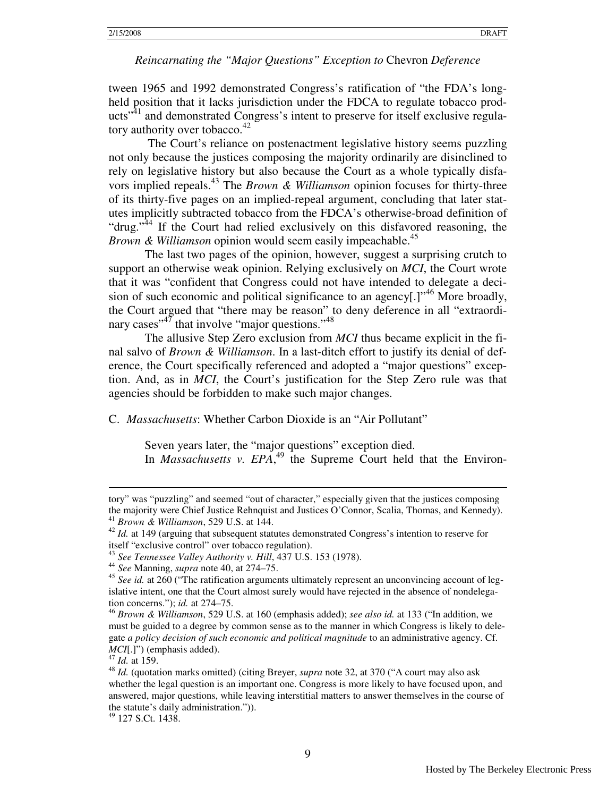tween 1965 and 1992 demonstrated Congress's ratification of "the FDA's longheld position that it lacks jurisdiction under the FDCA to regulate tobacco products<sup>"41</sup> and demonstrated Congress's intent to preserve for itself exclusive regulatory authority over tobacco. $42$ 

 The Court's reliance on postenactment legislative history seems puzzling not only because the justices composing the majority ordinarily are disinclined to rely on legislative history but also because the Court as a whole typically disfavors implied repeals.<sup>43</sup> The *Brown & Williamson* opinion focuses for thirty-three of its thirty-five pages on an implied-repeal argument, concluding that later statutes implicitly subtracted tobacco from the FDCA's otherwise-broad definition of "drug."<sup>44</sup> If the Court had relied exclusively on this disfavored reasoning, the *Brown & Williamson* opinion would seem easily impeachable.<sup>45</sup>

 The last two pages of the opinion, however, suggest a surprising crutch to support an otherwise weak opinion. Relying exclusively on *MCI*, the Court wrote that it was "confident that Congress could not have intended to delegate a decision of such economic and political significance to an agency[.] $1^{46}$  More broadly, the Court argued that "there may be reason" to deny deference in all "extraordinary cases"<sup>47</sup> that involve "major questions."<sup>48</sup>

The allusive Step Zero exclusion from *MCI* thus became explicit in the final salvo of *Brown & Williamson*. In a last-ditch effort to justify its denial of deference, the Court specifically referenced and adopted a "major questions" exception. And, as in *MCI*, the Court's justification for the Step Zero rule was that agencies should be forbidden to make such major changes.

C. *Massachusetts*: Whether Carbon Dioxide is an "Air Pollutant"

Seven years later, the "major questions" exception died. In *Massachusetts v. EPA*,<sup>49</sup> the Supreme Court held that the Environ-

 $\overline{a}$ 

<sup>49</sup> 127 S.Ct. 1438.

tory" was "puzzling" and seemed "out of character," especially given that the justices composing the majority were Chief Justice Rehnquist and Justices O'Connor, Scalia, Thomas, and Kennedy). <sup>41</sup> *Brown & Williamson*, 529 U.S. at 144.

<sup>&</sup>lt;sup>42</sup> *Id.* at 149 (arguing that subsequent statutes demonstrated Congress's intention to reserve for itself "exclusive control" over tobacco regulation).

<sup>43</sup> *See Tennessee Valley Authority v. Hill*, 437 U.S. 153 (1978).

<sup>44</sup> *See* Manning, *supra* note 40, at 274–75.

<sup>&</sup>lt;sup>45</sup> See id. at 260 ("The ratification arguments ultimately represent an unconvincing account of legislative intent, one that the Court almost surely would have rejected in the absence of nondelegation concerns."); *id.* at 274–75.

<sup>46</sup> *Brown & Williamson*, 529 U.S. at 160 (emphasis added); *see also id.* at 133 ("In addition, we must be guided to a degree by common sense as to the manner in which Congress is likely to delegate *a policy decision of such economic and political magnitude* to an administrative agency. Cf. *MCI*[.]") (emphasis added).

<sup>47</sup> *Id.* at 159.

<sup>48</sup> *Id.* (quotation marks omitted) (citing Breyer, *supra* note 32, at 370 ("A court may also ask whether the legal question is an important one. Congress is more likely to have focused upon, and answered, major questions, while leaving interstitial matters to answer themselves in the course of the statute's daily administration.")).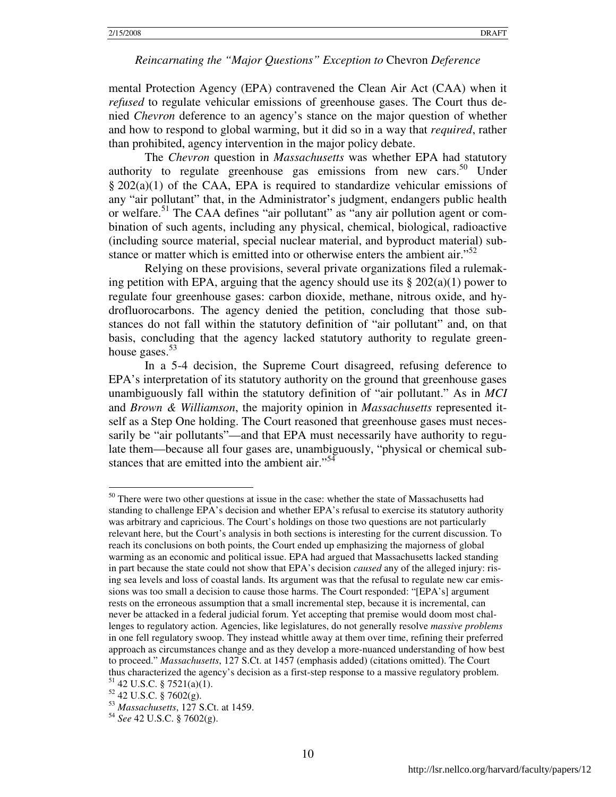mental Protection Agency (EPA) contravened the Clean Air Act (CAA) when it *refused* to regulate vehicular emissions of greenhouse gases. The Court thus denied *Chevron* deference to an agency's stance on the major question of whether and how to respond to global warming, but it did so in a way that *required*, rather than prohibited, agency intervention in the major policy debate.

The *Chevron* question in *Massachusetts* was whether EPA had statutory authority to regulate greenhouse gas emissions from new cars.<sup>50</sup> Under § 202(a)(1) of the CAA, EPA is required to standardize vehicular emissions of any "air pollutant" that, in the Administrator's judgment, endangers public health or welfare.<sup>51</sup> The CAA defines "air pollutant" as "any air pollution agent or combination of such agents, including any physical, chemical, biological, radioactive (including source material, special nuclear material, and byproduct material) substance or matter which is emitted into or otherwise enters the ambient air."<sup>52</sup>

 Relying on these provisions, several private organizations filed a rulemaking petition with EPA, arguing that the agency should use its  $\S 202(a)(1)$  power to regulate four greenhouse gases: carbon dioxide, methane, nitrous oxide, and hydrofluorocarbons. The agency denied the petition, concluding that those substances do not fall within the statutory definition of "air pollutant" and, on that basis, concluding that the agency lacked statutory authority to regulate greenhouse gases. $53$ 

In a 5-4 decision, the Supreme Court disagreed, refusing deference to EPA's interpretation of its statutory authority on the ground that greenhouse gases unambiguously fall within the statutory definition of "air pollutant." As in *MCI* and *Brown & Williamson*, the majority opinion in *Massachusetts* represented itself as a Step One holding. The Court reasoned that greenhouse gases must necessarily be "air pollutants"—and that EPA must necessarily have authority to regulate them—because all four gases are, unambiguously, "physical or chemical substances that are emitted into the ambient air."<sup>54</sup>

 $50$  There were two other questions at issue in the case: whether the state of Massachusetts had standing to challenge EPA's decision and whether EPA's refusal to exercise its statutory authority was arbitrary and capricious. The Court's holdings on those two questions are not particularly relevant here, but the Court's analysis in both sections is interesting for the current discussion. To reach its conclusions on both points, the Court ended up emphasizing the majorness of global warming as an economic and political issue. EPA had argued that Massachusetts lacked standing in part because the state could not show that EPA's decision *caused* any of the alleged injury: rising sea levels and loss of coastal lands. Its argument was that the refusal to regulate new car emissions was too small a decision to cause those harms. The Court responded: "[EPA's] argument rests on the erroneous assumption that a small incremental step, because it is incremental, can never be attacked in a federal judicial forum. Yet accepting that premise would doom most challenges to regulatory action. Agencies, like legislatures, do not generally resolve *massive problems* in one fell regulatory swoop. They instead whittle away at them over time, refining their preferred approach as circumstances change and as they develop a more-nuanced understanding of how best to proceed." *Massachusetts*, 127 S.Ct. at 1457 (emphasis added) (citations omitted). The Court thus characterized the agency's decision as a first-step response to a massive regulatory problem.  $51$  42 U.S.C. § 7521(a)(1).

<sup>52</sup> 42 U.S.C. § 7602(g).

<sup>53</sup> *Massachusetts*, 127 S.Ct. at 1459.

<sup>54</sup> *See* 42 U.S.C. § 7602(g).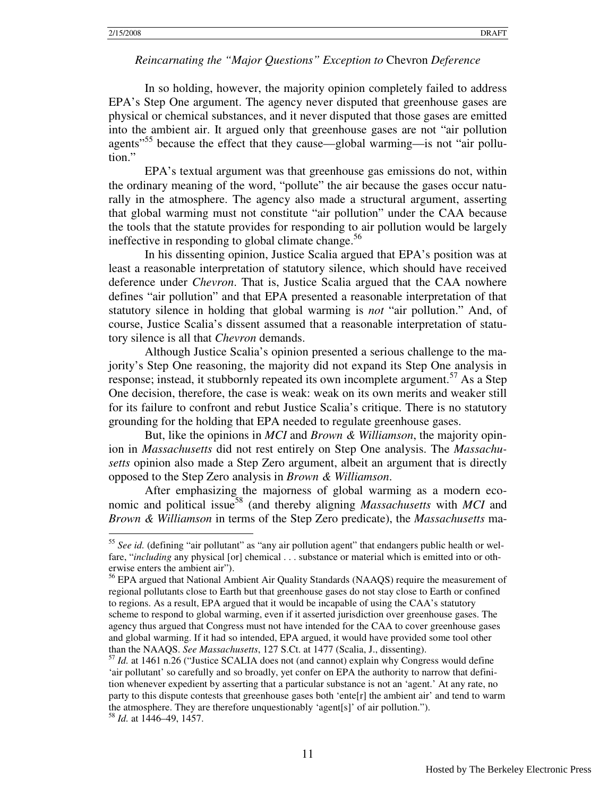$\overline{a}$ 

#### *Reincarnating the "Major Questions" Exception to* Chevron *Deference*

In so holding, however, the majority opinion completely failed to address EPA's Step One argument. The agency never disputed that greenhouse gases are physical or chemical substances, and it never disputed that those gases are emitted into the ambient air. It argued only that greenhouse gases are not "air pollution agents"<sup>55</sup> because the effect that they cause—global warming—is not "air pollution"

EPA's textual argument was that greenhouse gas emissions do not, within the ordinary meaning of the word, "pollute" the air because the gases occur naturally in the atmosphere. The agency also made a structural argument, asserting that global warming must not constitute "air pollution" under the CAA because the tools that the statute provides for responding to air pollution would be largely ineffective in responding to global climate change.<sup>56</sup>

In his dissenting opinion, Justice Scalia argued that EPA's position was at least a reasonable interpretation of statutory silence, which should have received deference under *Chevron*. That is, Justice Scalia argued that the CAA nowhere defines "air pollution" and that EPA presented a reasonable interpretation of that statutory silence in holding that global warming is *not* "air pollution." And, of course, Justice Scalia's dissent assumed that a reasonable interpretation of statutory silence is all that *Chevron* demands.

Although Justice Scalia's opinion presented a serious challenge to the majority's Step One reasoning, the majority did not expand its Step One analysis in response; instead, it stubbornly repeated its own incomplete argument.<sup>57</sup> As a Step One decision, therefore, the case is weak: weak on its own merits and weaker still for its failure to confront and rebut Justice Scalia's critique. There is no statutory grounding for the holding that EPA needed to regulate greenhouse gases.

But, like the opinions in *MCI* and *Brown & Williamson*, the majority opinion in *Massachusetts* did not rest entirely on Step One analysis. The *Massachusetts* opinion also made a Step Zero argument, albeit an argument that is directly opposed to the Step Zero analysis in *Brown & Williamson*.

After emphasizing the majorness of global warming as a modern economic and political issue<sup>58</sup> (and thereby aligning *Massachusetts* with *MCI* and *Brown & Williamson* in terms of the Step Zero predicate), the *Massachusetts* ma-

<sup>&</sup>lt;sup>55</sup> See id. (defining "air pollutant" as "any air pollution agent" that endangers public health or welfare, "*including* any physical [or] chemical . . . substance or material which is emitted into or otherwise enters the ambient air").

<sup>&</sup>lt;sup>56</sup> EPA argued that National Ambient Air Quality Standards (NAAQS) require the measurement of regional pollutants close to Earth but that greenhouse gases do not stay close to Earth or confined to regions. As a result, EPA argued that it would be incapable of using the CAA's statutory scheme to respond to global warming, even if it asserted jurisdiction over greenhouse gases. The agency thus argued that Congress must not have intended for the CAA to cover greenhouse gases and global warming. If it had so intended, EPA argued, it would have provided some tool other than the NAAQS. *See Massachusetts*, 127 S.Ct. at 1477 (Scalia, J., dissenting).

<sup>57</sup> *Id.* at 1461 n.26 ("Justice SCALIA does not (and cannot) explain why Congress would define 'air pollutant' so carefully and so broadly, yet confer on EPA the authority to narrow that definition whenever expedient by asserting that a particular substance is not an 'agent.' At any rate, no party to this dispute contests that greenhouse gases both 'ente[r] the ambient air' and tend to warm the atmosphere. They are therefore unquestionably 'agent[s]' of air pollution."). <sup>58</sup> *Id.* at 1446–49, 1457.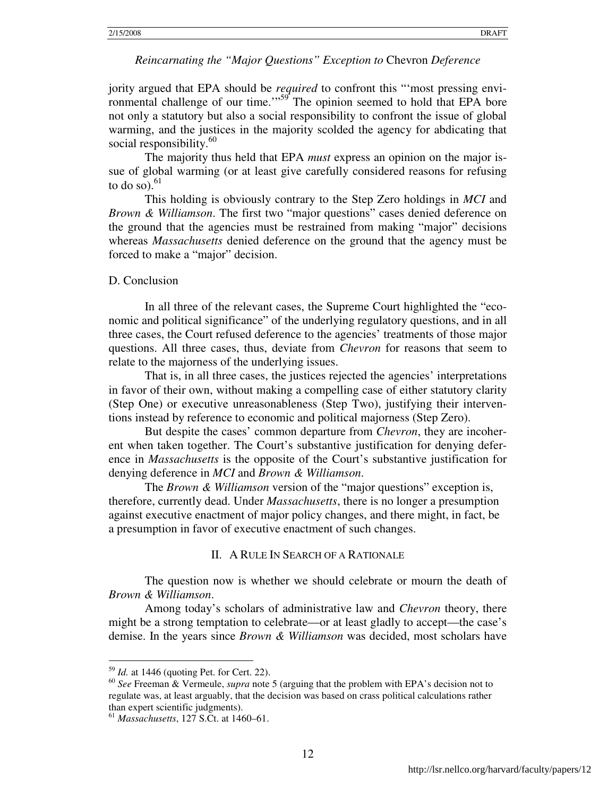jority argued that EPA should be *required* to confront this "'most pressing environmental challenge of our time."<sup>59</sup> The opinion seemed to hold that EPA bore not only a statutory but also a social responsibility to confront the issue of global warming, and the justices in the majority scolded the agency for abdicating that social responsibility.<sup>60</sup>

The majority thus held that EPA *must* express an opinion on the major issue of global warming (or at least give carefully considered reasons for refusing to do so). $61$ 

This holding is obviously contrary to the Step Zero holdings in *MCI* and *Brown & Williamson*. The first two "major questions" cases denied deference on the ground that the agencies must be restrained from making "major" decisions whereas *Massachusetts* denied deference on the ground that the agency must be forced to make a "major" decision.

#### D. Conclusion

 In all three of the relevant cases, the Supreme Court highlighted the "economic and political significance" of the underlying regulatory questions, and in all three cases, the Court refused deference to the agencies' treatments of those major questions. All three cases, thus, deviate from *Chevron* for reasons that seem to relate to the majorness of the underlying issues.

That is, in all three cases, the justices rejected the agencies' interpretations in favor of their own, without making a compelling case of either statutory clarity (Step One) or executive unreasonableness (Step Two), justifying their interventions instead by reference to economic and political majorness (Step Zero).

 But despite the cases' common departure from *Chevron*, they are incoherent when taken together. The Court's substantive justification for denying deference in *Massachusetts* is the opposite of the Court's substantive justification for denying deference in *MCI* and *Brown & Williamson*.

 The *Brown & Williamson* version of the "major questions" exception is, therefore, currently dead. Under *Massachusetts*, there is no longer a presumption against executive enactment of major policy changes, and there might, in fact, be a presumption in favor of executive enactment of such changes.

#### II. A RULE IN SEARCH OF A RATIONALE

The question now is whether we should celebrate or mourn the death of *Brown & Williamson*.

Among today's scholars of administrative law and *Chevron* theory, there might be a strong temptation to celebrate—or at least gladly to accept—the case's demise. In the years since *Brown & Williamson* was decided, most scholars have

-

<sup>59</sup> *Id.* at 1446 (quoting Pet. for Cert. 22).

<sup>60</sup> *See* Freeman & Vermeule, *supra* note 5 (arguing that the problem with EPA's decision not to regulate was, at least arguably, that the decision was based on crass political calculations rather than expert scientific judgments).

<sup>61</sup> *Massachusetts*, 127 S.Ct. at 1460–61.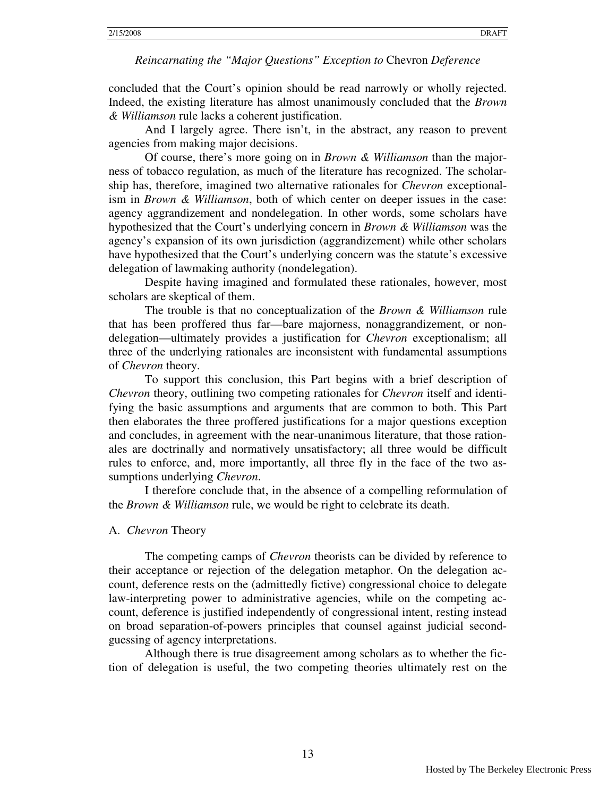concluded that the Court's opinion should be read narrowly or wholly rejected. Indeed, the existing literature has almost unanimously concluded that the *Brown & Williamson* rule lacks a coherent justification.

And I largely agree. There isn't, in the abstract, any reason to prevent agencies from making major decisions.

Of course, there's more going on in *Brown & Williamson* than the majorness of tobacco regulation, as much of the literature has recognized. The scholarship has, therefore, imagined two alternative rationales for *Chevron* exceptionalism in *Brown & Williamson*, both of which center on deeper issues in the case: agency aggrandizement and nondelegation. In other words, some scholars have hypothesized that the Court's underlying concern in *Brown & Williamson* was the agency's expansion of its own jurisdiction (aggrandizement) while other scholars have hypothesized that the Court's underlying concern was the statute's excessive delegation of lawmaking authority (nondelegation).

Despite having imagined and formulated these rationales, however, most scholars are skeptical of them.

The trouble is that no conceptualization of the *Brown & Williamson* rule that has been proffered thus far—bare majorness, nonaggrandizement, or nondelegation—ultimately provides a justification for *Chevron* exceptionalism; all three of the underlying rationales are inconsistent with fundamental assumptions of *Chevron* theory.

To support this conclusion, this Part begins with a brief description of *Chevron* theory, outlining two competing rationales for *Chevron* itself and identifying the basic assumptions and arguments that are common to both. This Part then elaborates the three proffered justifications for a major questions exception and concludes, in agreement with the near-unanimous literature, that those rationales are doctrinally and normatively unsatisfactory; all three would be difficult rules to enforce, and, more importantly, all three fly in the face of the two assumptions underlying *Chevron*.

I therefore conclude that, in the absence of a compelling reformulation of the *Brown & Williamson* rule, we would be right to celebrate its death.

#### A. *Chevron* Theory

 The competing camps of *Chevron* theorists can be divided by reference to their acceptance or rejection of the delegation metaphor. On the delegation account, deference rests on the (admittedly fictive) congressional choice to delegate law-interpreting power to administrative agencies, while on the competing account, deference is justified independently of congressional intent, resting instead on broad separation-of-powers principles that counsel against judicial secondguessing of agency interpretations.

Although there is true disagreement among scholars as to whether the fiction of delegation is useful, the two competing theories ultimately rest on the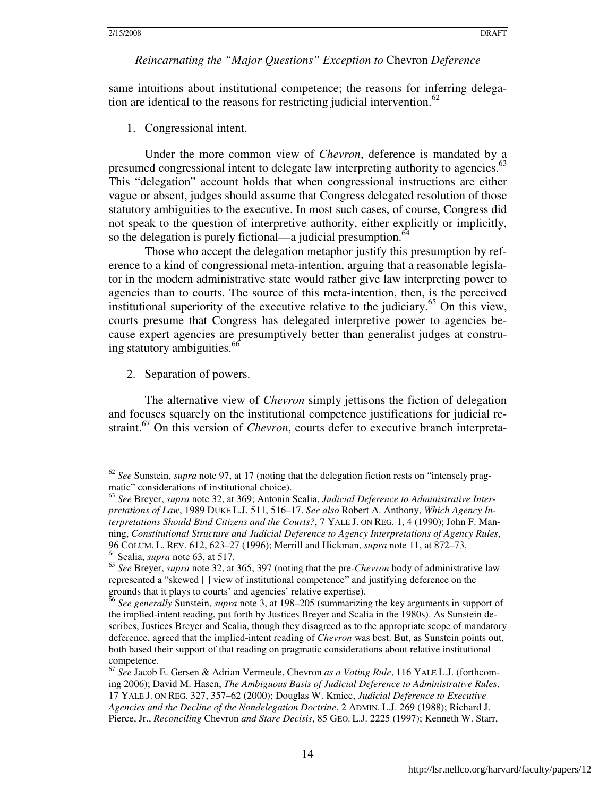same intuitions about institutional competence; the reasons for inferring delegation are identical to the reasons for restricting judicial intervention.<sup>62</sup>

1. Congressional intent.

Under the more common view of *Chevron*, deference is mandated by a presumed congressional intent to delegate law interpreting authority to agencies.<sup>63</sup> This "delegation" account holds that when congressional instructions are either vague or absent, judges should assume that Congress delegated resolution of those statutory ambiguities to the executive. In most such cases, of course, Congress did not speak to the question of interpretive authority, either explicitly or implicitly, so the delegation is purely fictional—a judicial presumption. $64$ 

Those who accept the delegation metaphor justify this presumption by reference to a kind of congressional meta-intention, arguing that a reasonable legislator in the modern administrative state would rather give law interpreting power to agencies than to courts. The source of this meta-intention, then, is the perceived institutional superiority of the executive relative to the judiciary.<sup>65</sup> On this view, courts presume that Congress has delegated interpretive power to agencies because expert agencies are presumptively better than generalist judges at construing statutory ambiguities.<sup>66</sup>

2. Separation of powers.

-

The alternative view of *Chevron* simply jettisons the fiction of delegation and focuses squarely on the institutional competence justifications for judicial restraint.<sup>67</sup> On this version of *Chevron*, courts defer to executive branch interpreta-

<sup>62</sup> *See* Sunstein, *supra* note 97, at 17 (noting that the delegation fiction rests on "intensely pragmatic" considerations of institutional choice).

<sup>63</sup> *See* Breyer, *supra* note 32, at 369; Antonin Scalia, *Judicial Deference to Administrative Interpretations of Law*, 1989 DUKE L.J. 511, 516–17. *See also* Robert A. Anthony, *Which Agency Interpretations Should Bind Citizens and the Courts?*, 7 YALE J. ON REG. 1, 4 (1990); John F. Manning, *Constitutional Structure and Judicial Deference to Agency Interpretations of Agency Rules*, 96 COLUM. L. REV. 612, 623–27 (1996); Merrill and Hickman, *supra* note 11, at 872–73. <sup>64</sup> Scalia, *supra* note 63, at 517.

<sup>65</sup> *See* Breyer, *supra* note 32, at 365, 397 (noting that the pre-*Chevron* body of administrative law represented a "skewed [ ] view of institutional competence" and justifying deference on the grounds that it plays to courts' and agencies' relative expertise).

<sup>66</sup> *See generally* Sunstein, *supra* note 3, at 198–205 (summarizing the key arguments in support of the implied-intent reading, put forth by Justices Breyer and Scalia in the 1980s). As Sunstein describes, Justices Breyer and Scalia, though they disagreed as to the appropriate scope of mandatory deference, agreed that the implied-intent reading of *Chevron* was best. But, as Sunstein points out, both based their support of that reading on pragmatic considerations about relative institutional competence.

<sup>67</sup> *See* Jacob E. Gersen & Adrian Vermeule, Chevron *as a Voting Rule*, 116 YALE L.J. (forthcoming 2006); David M. Hasen, *The Ambiguous Basis of Judicial Deference to Administrative Rules*, 17 YALE J. ON REG. 327, 357–62 (2000); Douglas W. Kmiec, *Judicial Deference to Executive Agencies and the Decline of the Nondelegation Doctrine*, 2 ADMIN. L.J. 269 (1988); Richard J. Pierce, Jr., *Reconciling* Chevron *and Stare Decisis*, 85 GEO. L.J. 2225 (1997); Kenneth W. Starr,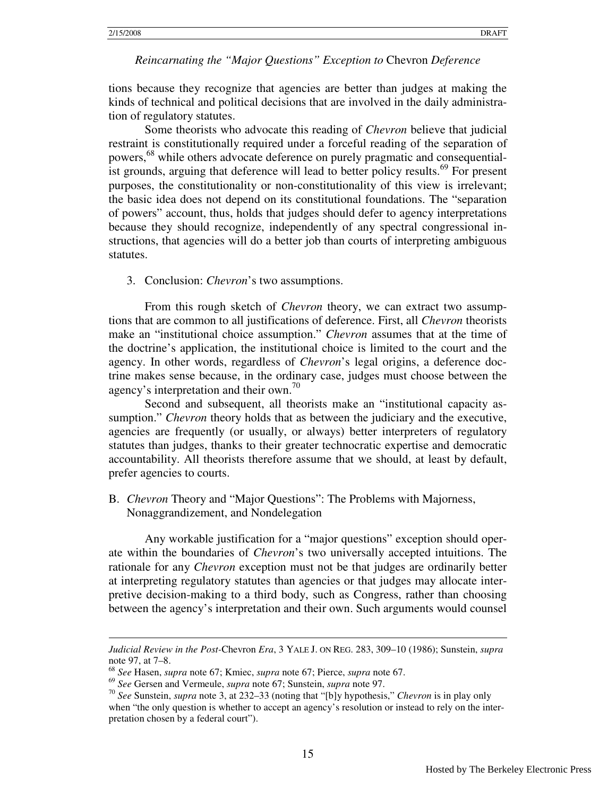$\overline{a}$ 

#### *Reincarnating the "Major Questions" Exception to* Chevron *Deference*

tions because they recognize that agencies are better than judges at making the kinds of technical and political decisions that are involved in the daily administration of regulatory statutes.

Some theorists who advocate this reading of *Chevron* believe that judicial restraint is constitutionally required under a forceful reading of the separation of powers,<sup>68</sup> while others advocate deference on purely pragmatic and consequentialist grounds, arguing that deference will lead to better policy results.<sup>69</sup> For present purposes, the constitutionality or non-constitutionality of this view is irrelevant; the basic idea does not depend on its constitutional foundations. The "separation of powers" account, thus, holds that judges should defer to agency interpretations because they should recognize, independently of any spectral congressional instructions, that agencies will do a better job than courts of interpreting ambiguous statutes.

3. Conclusion: *Chevron*'s two assumptions.

 From this rough sketch of *Chevron* theory, we can extract two assumptions that are common to all justifications of deference. First, all *Chevron* theorists make an "institutional choice assumption." *Chevron* assumes that at the time of the doctrine's application, the institutional choice is limited to the court and the agency. In other words, regardless of *Chevron*'s legal origins, a deference doctrine makes sense because, in the ordinary case, judges must choose between the agency's interpretation and their own.<sup>70</sup>

Second and subsequent, all theorists make an "institutional capacity assumption." *Chevron* theory holds that as between the judiciary and the executive, agencies are frequently (or usually, or always) better interpreters of regulatory statutes than judges, thanks to their greater technocratic expertise and democratic accountability. All theorists therefore assume that we should, at least by default, prefer agencies to courts.

B. *Chevron* Theory and "Major Questions": The Problems with Majorness, Nonaggrandizement, and Nondelegation

 Any workable justification for a "major questions" exception should operate within the boundaries of *Chevron*'s two universally accepted intuitions. The rationale for any *Chevron* exception must not be that judges are ordinarily better at interpreting regulatory statutes than agencies or that judges may allocate interpretive decision-making to a third body, such as Congress, rather than choosing between the agency's interpretation and their own. Such arguments would counsel

*Judicial Review in the Post-*Chevron *Era*, 3 YALE J. ON REG. 283, 309–10 (1986); Sunstein, *supra* note 97, at 7–8.

<sup>68</sup> *See* Hasen, *supra* note 67; Kmiec, *supra* note 67; Pierce, *supra* note 67.

<sup>69</sup> *See* Gersen and Vermeule, *supra* note 67; Sunstein, *supra* note 97.

<sup>70</sup> *See* Sunstein, *supra* note 3, at 232–33 (noting that "[b]y hypothesis," *Chevron* is in play only when "the only question is whether to accept an agency's resolution or instead to rely on the interpretation chosen by a federal court").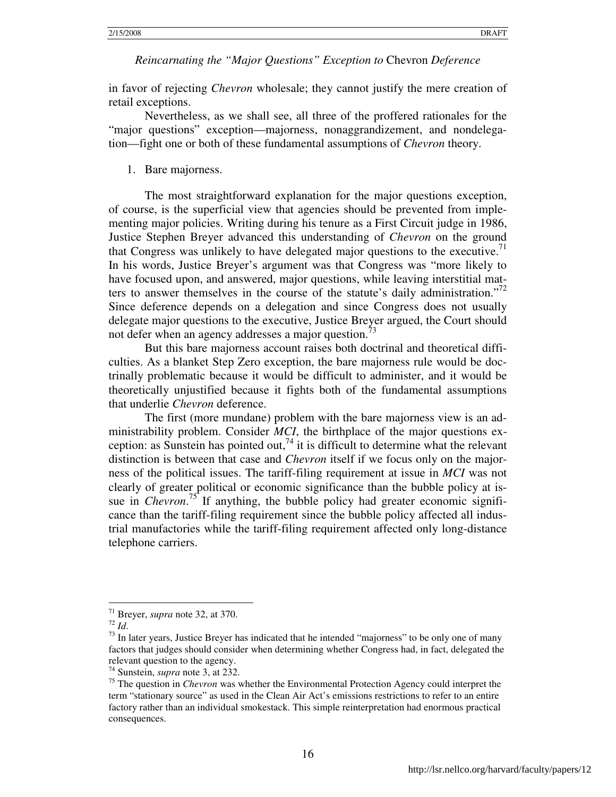in favor of rejecting *Chevron* wholesale; they cannot justify the mere creation of retail exceptions.

Nevertheless, as we shall see, all three of the proffered rationales for the "major questions" exception—majorness, nonaggrandizement, and nondelegation—fight one or both of these fundamental assumptions of *Chevron* theory.

#### 1. Bare majorness.

The most straightforward explanation for the major questions exception, of course, is the superficial view that agencies should be prevented from implementing major policies. Writing during his tenure as a First Circuit judge in 1986, Justice Stephen Breyer advanced this understanding of *Chevron* on the ground that Congress was unlikely to have delegated major questions to the executive.<sup> $1$ </sup> In his words, Justice Breyer's argument was that Congress was "more likely to have focused upon, and answered, major questions, while leaving interstitial matters to answer themselves in the course of the statute's daily administration."<sup>72</sup> Since deference depends on a delegation and since Congress does not usually delegate major questions to the executive, Justice Breyer argued, the Court should not defer when an agency addresses a major question.<sup>73</sup>

But this bare majorness account raises both doctrinal and theoretical difficulties. As a blanket Step Zero exception, the bare majorness rule would be doctrinally problematic because it would be difficult to administer, and it would be theoretically unjustified because it fights both of the fundamental assumptions that underlie *Chevron* deference.

The first (more mundane) problem with the bare majorness view is an administrability problem. Consider *MCI*, the birthplace of the major questions exception: as Sunstein has pointed out,<sup>74</sup> it is difficult to determine what the relevant distinction is between that case and *Chevron* itself if we focus only on the majorness of the political issues. The tariff-filing requirement at issue in *MCI* was not clearly of greater political or economic significance than the bubble policy at issue in *Chevron.*<sup>75</sup> If anything, the bubble policy had greater economic significance than the tariff-filing requirement since the bubble policy affected all industrial manufactories while the tariff-filing requirement affected only long-distance telephone carriers.

<sup>71</sup> Breyer, *supra* note 32, at 370.

<sup>72</sup> *Id*.

 $73$  In later years, Justice Breyer has indicated that he intended "majorness" to be only one of many factors that judges should consider when determining whether Congress had, in fact, delegated the relevant question to the agency.

<sup>74</sup> Sunstein, *supra* note 3, at 232.

<sup>75</sup> The question in *Chevron* was whether the Environmental Protection Agency could interpret the term "stationary source" as used in the Clean Air Act's emissions restrictions to refer to an entire factory rather than an individual smokestack. This simple reinterpretation had enormous practical consequences.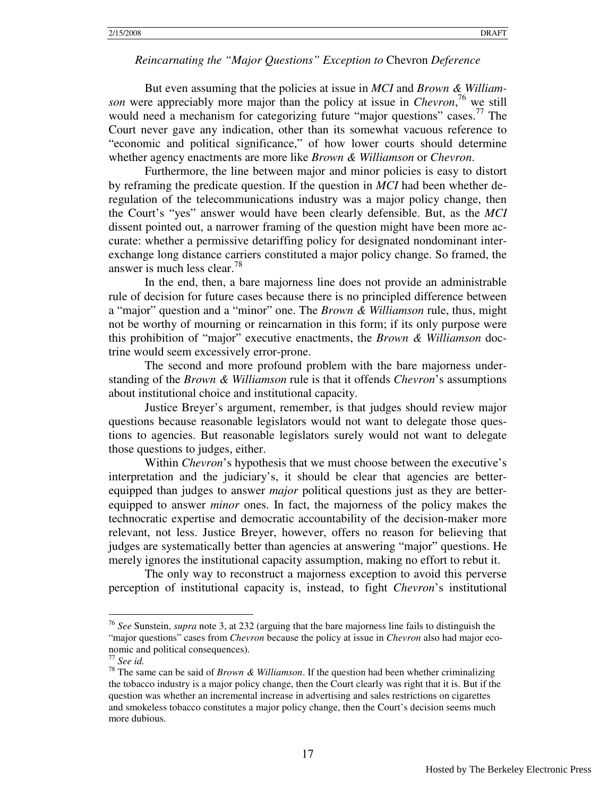But even assuming that the policies at issue in *MCI* and *Brown & Williamson* were appreciably more major than the policy at issue in *Chevron*, <sup>76</sup> we still would need a mechanism for categorizing future "major questions" cases.<sup>77</sup> The Court never gave any indication, other than its somewhat vacuous reference to "economic and political significance," of how lower courts should determine whether agency enactments are more like *Brown & Williamson* or *Chevron*.

Furthermore, the line between major and minor policies is easy to distort by reframing the predicate question. If the question in *MCI* had been whether deregulation of the telecommunications industry was a major policy change, then the Court's "yes" answer would have been clearly defensible. But, as the *MCI*  dissent pointed out, a narrower framing of the question might have been more accurate: whether a permissive detariffing policy for designated nondominant interexchange long distance carriers constituted a major policy change. So framed, the answer is much less clear.<sup>78</sup>

In the end, then, a bare majorness line does not provide an administrable rule of decision for future cases because there is no principled difference between a "major" question and a "minor" one. The *Brown & Williamson* rule, thus, might not be worthy of mourning or reincarnation in this form; if its only purpose were this prohibition of "major" executive enactments, the *Brown & Williamson* doctrine would seem excessively error-prone.

The second and more profound problem with the bare majorness understanding of the *Brown & Williamson* rule is that it offends *Chevron*'s assumptions about institutional choice and institutional capacity.

Justice Breyer's argument, remember, is that judges should review major questions because reasonable legislators would not want to delegate those questions to agencies. But reasonable legislators surely would not want to delegate those questions to judges, either.

Within *Chevron*'s hypothesis that we must choose between the executive's interpretation and the judiciary's, it should be clear that agencies are betterequipped than judges to answer *major* political questions just as they are betterequipped to answer *minor* ones. In fact, the majorness of the policy makes the technocratic expertise and democratic accountability of the decision-maker more relevant, not less. Justice Breyer, however, offers no reason for believing that judges are systematically better than agencies at answering "major" questions. He merely ignores the institutional capacity assumption, making no effort to rebut it.

The only way to reconstruct a majorness exception to avoid this perverse perception of institutional capacity is, instead, to fight *Chevron*'s institutional

<u>.</u>

<sup>76</sup> *See* Sunstein, *supra* note 3, at 232 (arguing that the bare majorness line fails to distinguish the "major questions" cases from *Chevron* because the policy at issue in *Chevron* also had major economic and political consequences).

<sup>77</sup> *See id.*

<sup>78</sup> The same can be said of *Brown & Williamson*. If the question had been whether criminalizing the tobacco industry is a major policy change, then the Court clearly was right that it is. But if the question was whether an incremental increase in advertising and sales restrictions on cigarettes and smokeless tobacco constitutes a major policy change, then the Court's decision seems much more dubious.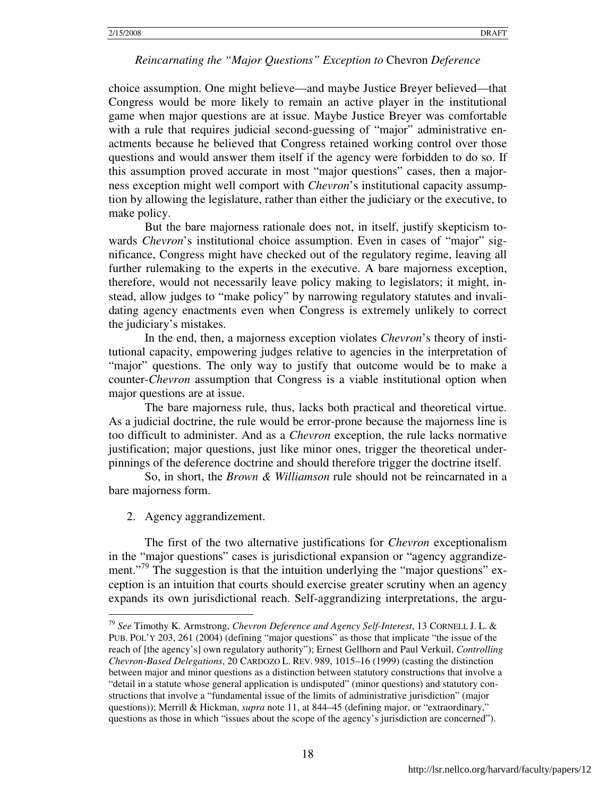choice assumption. One might believe—and maybe Justice Breyer believed—that Congress would be more likely to remain an active player in the institutional game when major questions are at issue. Maybe Justice Breyer was comfortable with a rule that requires judicial second-guessing of "major" administrative enactments because he believed that Congress retained working control over those questions and would answer them itself if the agency were forbidden to do so. If this assumption proved accurate in most "major questions" cases, then a majorness exception might well comport with *Chevron*'s institutional capacity assumption by allowing the legislature, rather than either the judiciary or the executive, to make policy.

But the bare majorness rationale does not, in itself, justify skepticism towards *Chevron*'s institutional choice assumption. Even in cases of "major" significance, Congress might have checked out of the regulatory regime, leaving all further rulemaking to the experts in the executive. A bare majorness exception, therefore, would not necessarily leave policy making to legislators; it might, instead, allow judges to "make policy" by narrowing regulatory statutes and invalidating agency enactments even when Congress is extremely unlikely to correct the judiciary's mistakes.

In the end, then, a majorness exception violates *Chevron*'s theory of institutional capacity, empowering judges relative to agencies in the interpretation of "major" questions. The only way to justify that outcome would be to make a counter-*Chevron* assumption that Congress is a viable institutional option when major questions are at issue.

The bare majorness rule, thus, lacks both practical and theoretical virtue. As a judicial doctrine, the rule would be error-prone because the majorness line is too difficult to administer. And as a *Chevron* exception, the rule lacks normative justification; major questions, just like minor ones, trigger the theoretical underpinnings of the deference doctrine and should therefore trigger the doctrine itself.

So, in short, the *Brown & Williamson* rule should not be reincarnated in a bare majorness form.

2. Agency aggrandizement.

<u>.</u>

The first of the two alternative justifications for *Chevron* exceptionalism in the "major questions" cases is jurisdictional expansion or "agency aggrandizement."<sup>79</sup> The suggestion is that the intuition underlying the "major questions" exception is an intuition that courts should exercise greater scrutiny when an agency expands its own jurisdictional reach. Self-aggrandizing interpretations, the argu-

<sup>79</sup> *See* Timothy K. Armstrong, *Chevron Deference and Agency Self-Interest*, 13 CORNELL J. L. & PUB. POL'Y 203, 261 (2004) (defining "major questions" as those that implicate "the issue of the reach of [the agency's] own regulatory authority"); Ernest Gellhorn and Paul Verkuil, *Controlling Chevron-Based Delegations*, 20 CARDOZO L. REV. 989, 1015–16 (1999) (casting the distinction between major and minor questions as a distinction between statutory constructions that involve a "detail in a statute whose general application is undisputed" (minor questions) and statutory constructions that involve a "fundamental issue of the limits of administrative jurisdiction" (major questions)); Merrill & Hickman, *supra* note 11, at 844–45 (defining major, or "extraordinary," questions as those in which "issues about the scope of the agency's jurisdiction are concerned").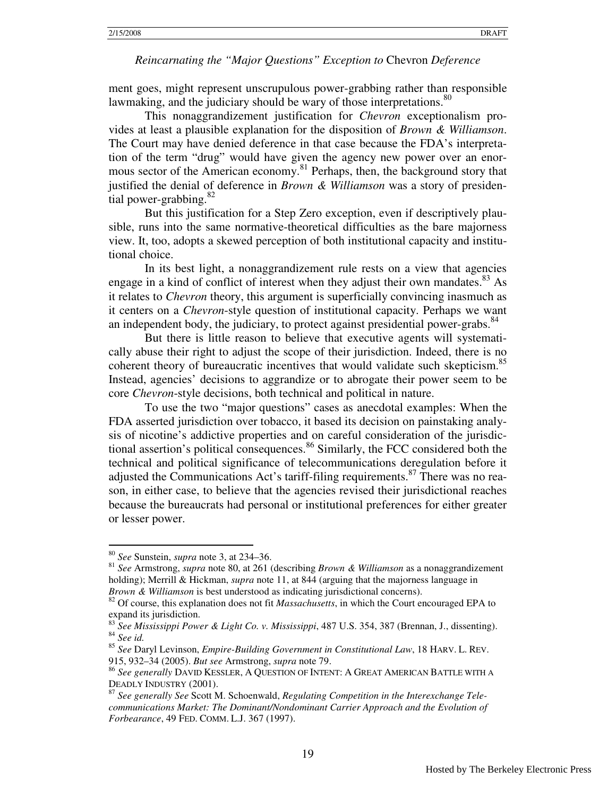ment goes, might represent unscrupulous power-grabbing rather than responsible lawmaking, and the judiciary should be wary of those interpretations.<sup>80</sup>

This nonaggrandizement justification for *Chevron* exceptionalism provides at least a plausible explanation for the disposition of *Brown & Williamson*. The Court may have denied deference in that case because the FDA's interpretation of the term "drug" would have given the agency new power over an enormous sector of the American economy.<sup>81</sup> Perhaps, then, the background story that justified the denial of deference in *Brown & Williamson* was a story of presidential power-grabbing. $82$ 

But this justification for a Step Zero exception, even if descriptively plausible, runs into the same normative-theoretical difficulties as the bare majorness view. It, too, adopts a skewed perception of both institutional capacity and institutional choice.

In its best light, a nonaggrandizement rule rests on a view that agencies engage in a kind of conflict of interest when they adjust their own mandates. $83$  As it relates to *Chevron* theory, this argument is superficially convincing inasmuch as it centers on a *Chevron*-style question of institutional capacity. Perhaps we want an independent body, the judiciary, to protect against presidential power-grabs.<sup>84</sup>

But there is little reason to believe that executive agents will systematically abuse their right to adjust the scope of their jurisdiction. Indeed, there is no coherent theory of bureaucratic incentives that would validate such skepticism.<sup>85</sup> Instead, agencies' decisions to aggrandize or to abrogate their power seem to be core *Chevron*-style decisions, both technical and political in nature.

To use the two "major questions" cases as anecdotal examples: When the FDA asserted jurisdiction over tobacco, it based its decision on painstaking analysis of nicotine's addictive properties and on careful consideration of the jurisdictional assertion's political consequences.<sup>86</sup> Similarly, the FCC considered both the technical and political significance of telecommunications deregulation before it adjusted the Communications Act's tariff-filing requirements.<sup>87</sup> There was no reason, in either case, to believe that the agencies revised their jurisdictional reaches because the bureaucrats had personal or institutional preferences for either greater or lesser power.

<u>.</u>

<sup>80</sup> *See* Sunstein, *supra* note 3, at 234–36.

<sup>81</sup> *See* Armstrong, *supra* note 80, at 261 (describing *Brown & Williamson* as a nonaggrandizement holding); Merrill & Hickman, *supra* note 11, at 844 (arguing that the majorness language in *Brown & Williamson* is best understood as indicating jurisdictional concerns).

<sup>82</sup> Of course, this explanation does not fit *Massachusetts*, in which the Court encouraged EPA to expand its jurisdiction.

<sup>83</sup> *See Mississippi Power & Light Co. v. Mississippi*, 487 U.S. 354, 387 (Brennan, J., dissenting). <sup>84</sup> *See id.*

<sup>85</sup> *See* Daryl Levinson, *Empire-Building Government in Constitutional Law*, 18 HARV. L. REV. 915, 932–34 (2005). *But see* Armstrong, *supra* note 79.

<sup>86</sup> *See generally* DAVID KESSLER, A QUESTION OF INTENT: A GREAT AMERICAN BATTLE WITH A DEADLY INDUSTRY (2001).

<sup>87</sup> *See generally See* Scott M. Schoenwald, *Regulating Competition in the Interexchange Telecommunications Market: The Dominant/Nondominant Carrier Approach and the Evolution of Forbearance*, 49 FED. COMM. L.J. 367 (1997).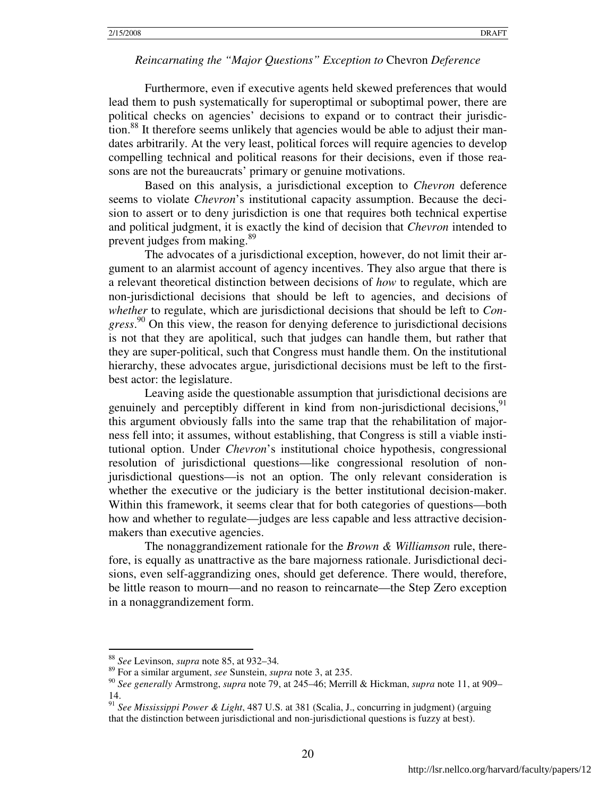Furthermore, even if executive agents held skewed preferences that would lead them to push systematically for superoptimal or suboptimal power, there are political checks on agencies' decisions to expand or to contract their jurisdiction.<sup>88</sup> It therefore seems unlikely that agencies would be able to adjust their mandates arbitrarily. At the very least, political forces will require agencies to develop compelling technical and political reasons for their decisions, even if those reasons are not the bureaucrats' primary or genuine motivations.

Based on this analysis, a jurisdictional exception to *Chevron* deference seems to violate *Chevron*'s institutional capacity assumption. Because the decision to assert or to deny jurisdiction is one that requires both technical expertise and political judgment, it is exactly the kind of decision that *Chevron* intended to prevent judges from making.<sup>89</sup>

The advocates of a jurisdictional exception, however, do not limit their argument to an alarmist account of agency incentives. They also argue that there is a relevant theoretical distinction between decisions of *how* to regulate, which are non-jurisdictional decisions that should be left to agencies, and decisions of *whether* to regulate, which are jurisdictional decisions that should be left to *Congress*. <sup>90</sup> On this view, the reason for denying deference to jurisdictional decisions is not that they are apolitical, such that judges can handle them, but rather that they are super-political, such that Congress must handle them. On the institutional hierarchy, these advocates argue, jurisdictional decisions must be left to the firstbest actor: the legislature.

Leaving aside the questionable assumption that jurisdictional decisions are genuinely and perceptibly different in kind from non-jurisdictional decisions,  $91$ this argument obviously falls into the same trap that the rehabilitation of majorness fell into; it assumes, without establishing, that Congress is still a viable institutional option. Under *Chevron*'s institutional choice hypothesis, congressional resolution of jurisdictional questions—like congressional resolution of nonjurisdictional questions—is not an option. The only relevant consideration is whether the executive or the judiciary is the better institutional decision-maker. Within this framework, it seems clear that for both categories of questions—both how and whether to regulate—judges are less capable and less attractive decisionmakers than executive agencies.

The nonaggrandizement rationale for the *Brown & Williamson* rule, therefore, is equally as unattractive as the bare majorness rationale. Jurisdictional decisions, even self-aggrandizing ones, should get deference. There would, therefore, be little reason to mourn—and no reason to reincarnate—the Step Zero exception in a nonaggrandizement form.

<sup>88</sup> *See* Levinson, *supra* note 85, at 932–34*.*

<sup>89</sup> For a similar argument, *see* Sunstein, *supra* note 3, at 235.

<sup>90</sup> *See generally* Armstrong, *supra* note 79, at 245–46; Merrill & Hickman, *supra* note 11, at 909– 14.

<sup>91</sup> *See Mississippi Power & Light*, 487 U.S. at 381 (Scalia, J., concurring in judgment) (arguing that the distinction between jurisdictional and non-jurisdictional questions is fuzzy at best).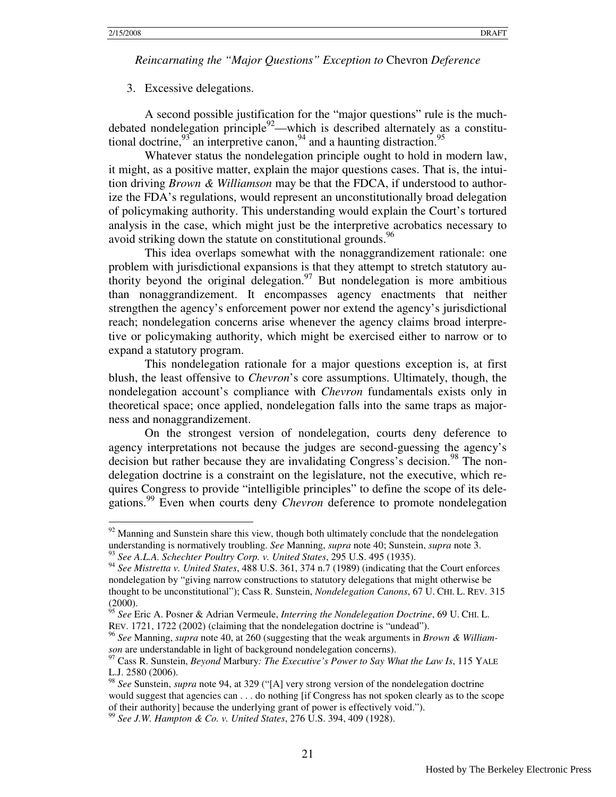-

*Reincarnating the "Major Questions" Exception to* Chevron *Deference* 

#### 3. Excessive delegations.

A second possible justification for the "major questions" rule is the muchdebated nondelegation principle $92$ —which is described alternately as a constitutional doctrine,  $93$  an interpretive canon,  $94$  and a haunting distraction.  $95$ 

Whatever status the nondelegation principle ought to hold in modern law, it might, as a positive matter, explain the major questions cases. That is, the intuition driving *Brown & Williamson* may be that the FDCA, if understood to authorize the FDA's regulations, would represent an unconstitutionally broad delegation of policymaking authority. This understanding would explain the Court's tortured analysis in the case, which might just be the interpretive acrobatics necessary to avoid striking down the statute on constitutional grounds.  $96$ 

 This idea overlaps somewhat with the nonaggrandizement rationale: one problem with jurisdictional expansions is that they attempt to stretch statutory authority beyond the original delegation.<sup>97</sup> But nondelegation is more ambitious than nonaggrandizement. It encompasses agency enactments that neither strengthen the agency's enforcement power nor extend the agency's jurisdictional reach; nondelegation concerns arise whenever the agency claims broad interpretive or policymaking authority, which might be exercised either to narrow or to expand a statutory program.

This nondelegation rationale for a major questions exception is, at first blush, the least offensive to *Chevron*'s core assumptions. Ultimately, though, the nondelegation account's compliance with *Chevron* fundamentals exists only in theoretical space; once applied, nondelegation falls into the same traps as majorness and nonaggrandizement.

On the strongest version of nondelegation, courts deny deference to agency interpretations not because the judges are second-guessing the agency's decision but rather because they are invalidating Congress's decision.<sup>98</sup> The nondelegation doctrine is a constraint on the legislature, not the executive, which requires Congress to provide "intelligible principles" to define the scope of its delegations.<sup>99</sup> Even when courts deny *Chevron* deference to promote nondelegation

 $92$  Manning and Sunstein share this view, though both ultimately conclude that the nondelegation understanding is normatively troubling. *See* Manning, *supra* note 40; Sunstein, *supra* note 3. <sup>93</sup> *See A.L.A. Schechter Poultry Corp. v. United States*, 295 U.S. 495 (1935).

<sup>94</sup> *See Mistretta v. United States*, 488 U.S. 361, 374 n.7 (1989) (indicating that the Court enforces nondelegation by "giving narrow constructions to statutory delegations that might otherwise be thought to be unconstitutional"); Cass R. Sunstein, *Nondelegation Canons*, 67 U. CHI. L. REV. 315 (2000).

<sup>95</sup> *See* Eric A. Posner & Adrian Vermeule, *Interring the Nondelegation Doctrine*, 69 U. CHI. L. REV. 1721, 1722 (2002) (claiming that the nondelegation doctrine is "undead").

<sup>96</sup> *See* Manning, *supra* note 40, at 260 (suggesting that the weak arguments in *Brown & Williamson* are understandable in light of background nondelegation concerns).

<sup>97</sup> Cass R. Sunstein, *Beyond* Marbury*: The Executive's Power to Say What the Law Is*, 115 YALE L.J. 2580 (2006).

<sup>98</sup> *See* Sunstein, *supra* note 94, at 329 ("[A] very strong version of the nondelegation doctrine would suggest that agencies can . . . do nothing [if Congress has not spoken clearly as to the scope of their authority] because the underlying grant of power is effectively void.").

<sup>99</sup> *See J.W. Hampton & Co. v. United States*, 276 U.S. 394, 409 (1928).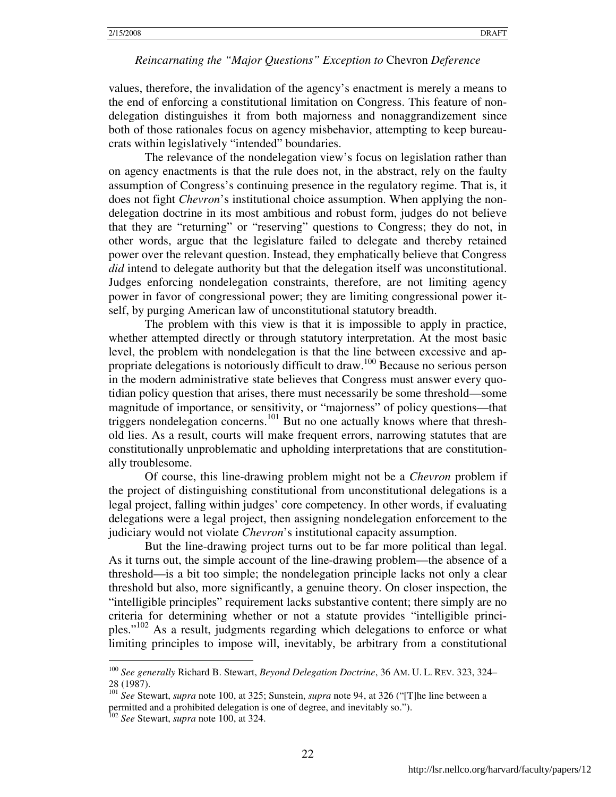values, therefore, the invalidation of the agency's enactment is merely a means to the end of enforcing a constitutional limitation on Congress. This feature of nondelegation distinguishes it from both majorness and nonaggrandizement since both of those rationales focus on agency misbehavior, attempting to keep bureaucrats within legislatively "intended" boundaries.

The relevance of the nondelegation view's focus on legislation rather than on agency enactments is that the rule does not, in the abstract, rely on the faulty assumption of Congress's continuing presence in the regulatory regime. That is, it does not fight *Chevron*'s institutional choice assumption. When applying the nondelegation doctrine in its most ambitious and robust form, judges do not believe that they are "returning" or "reserving" questions to Congress; they do not, in other words, argue that the legislature failed to delegate and thereby retained power over the relevant question. Instead, they emphatically believe that Congress *did* intend to delegate authority but that the delegation itself was unconstitutional. Judges enforcing nondelegation constraints, therefore, are not limiting agency power in favor of congressional power; they are limiting congressional power itself, by purging American law of unconstitutional statutory breadth.

The problem with this view is that it is impossible to apply in practice, whether attempted directly or through statutory interpretation. At the most basic level, the problem with nondelegation is that the line between excessive and appropriate delegations is notoriously difficult to draw.<sup>100</sup> Because no serious person in the modern administrative state believes that Congress must answer every quotidian policy question that arises, there must necessarily be some threshold—some magnitude of importance, or sensitivity, or "majorness" of policy questions—that triggers nondelegation concerns.<sup>101</sup> But no one actually knows where that threshold lies. As a result, courts will make frequent errors, narrowing statutes that are constitutionally unproblematic and upholding interpretations that are constitutionally troublesome.

Of course, this line-drawing problem might not be a *Chevron* problem if the project of distinguishing constitutional from unconstitutional delegations is a legal project, falling within judges' core competency. In other words, if evaluating delegations were a legal project, then assigning nondelegation enforcement to the judiciary would not violate *Chevron*'s institutional capacity assumption.

But the line-drawing project turns out to be far more political than legal. As it turns out, the simple account of the line-drawing problem—the absence of a threshold—is a bit too simple; the nondelegation principle lacks not only a clear threshold but also, more significantly, a genuine theory. On closer inspection, the "intelligible principles" requirement lacks substantive content; there simply are no criteria for determining whether or not a statute provides "intelligible principles."<sup>102</sup> As a result, judgments regarding which delegations to enforce or what limiting principles to impose will, inevitably, be arbitrary from a constitutional

<sup>100</sup> *See generally* Richard B. Stewart, *Beyond Delegation Doctrine*, 36 AM. U. L. REV. 323, 324– 28 (1987).

<sup>101</sup> *See* Stewart, *supra* note 100, at 325; Sunstein, *supra* note 94, at 326 ("[T]he line between a permitted and a prohibited delegation is one of degree, and inevitably so.").

<sup>102</sup> *See* Stewart, *supra* note 100, at 324.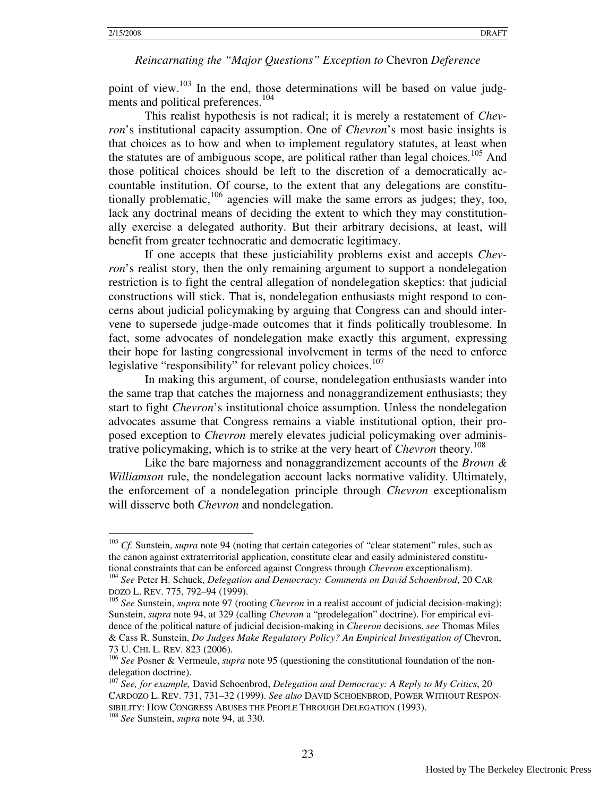point of view.<sup>103</sup> In the end, those determinations will be based on value judgments and political preferences.<sup>104</sup>

This realist hypothesis is not radical; it is merely a restatement of *Chevron*'s institutional capacity assumption. One of *Chevron*'s most basic insights is that choices as to how and when to implement regulatory statutes, at least when the statutes are of ambiguous scope, are political rather than legal choices.<sup>105</sup> And those political choices should be left to the discretion of a democratically accountable institution. Of course, to the extent that any delegations are constitutionally problematic,  $106$  agencies will make the same errors as judges; they, too, lack any doctrinal means of deciding the extent to which they may constitutionally exercise a delegated authority. But their arbitrary decisions, at least, will benefit from greater technocratic and democratic legitimacy.

If one accepts that these justiciability problems exist and accepts *Chevron*'s realist story, then the only remaining argument to support a nondelegation restriction is to fight the central allegation of nondelegation skeptics: that judicial constructions will stick. That is, nondelegation enthusiasts might respond to concerns about judicial policymaking by arguing that Congress can and should intervene to supersede judge-made outcomes that it finds politically troublesome. In fact, some advocates of nondelegation make exactly this argument, expressing their hope for lasting congressional involvement in terms of the need to enforce legislative "responsibility" for relevant policy choices.<sup>107</sup>

In making this argument, of course, nondelegation enthusiasts wander into the same trap that catches the majorness and nonaggrandizement enthusiasts; they start to fight *Chevron*'s institutional choice assumption. Unless the nondelegation advocates assume that Congress remains a viable institutional option, their proposed exception to *Chevron* merely elevates judicial policymaking over administrative policymaking, which is to strike at the very heart of *Chevron* theory.<sup>108</sup>

 Like the bare majorness and nonaggrandizement accounts of the *Brown & Williamson* rule, the nondelegation account lacks normative validity. Ultimately, the enforcement of a nondelegation principle through *Chevron* exceptionalism will disserve both *Chevron* and nondelegation.

-

<sup>&</sup>lt;sup>103</sup> *Cf.* Sunstein, *supra* note 94 (noting that certain categories of "clear statement" rules, such as the canon against extraterritorial application, constitute clear and easily administered constitutional constraints that can be enforced against Congress through *Chevron* exceptionalism).

<sup>104</sup> *See* Peter H. Schuck, *Delegation and Democracy: Comments on David Schoenbrod*, 20 CAR-DOZO L. REV. 775, 792–94 (1999).

<sup>105</sup> *See* Sunstein, *supra* note 97 (rooting *Chevron* in a realist account of judicial decision-making); Sunstein, *supra* note 94, at 329 (calling *Chevron* a "prodelegation" doctrine). For empirical evidence of the political nature of judicial decision-making in *Chevron* decisions, *see* Thomas Miles & Cass R. Sunstein, *Do Judges Make Regulatory Policy? An Empirical Investigation of* Chevron, 73 U. CHI. L. REV. 823 (2006).

<sup>106</sup> *See* Posner & Vermeule, *supra* note 95 (questioning the constitutional foundation of the nondelegation doctrine).

<sup>107</sup> *See, for example,* David Schoenbrod, *Delegation and Democracy: A Reply to My Critics*, 20 CARDOZO L. REV. 731, 731–32 (1999). *See also* DAVID SCHOENBROD, POWER WITHOUT RESPON-SIBILITY: HOW CONGRESS ABUSES THE PEOPLE THROUGH DELEGATION (1993).

<sup>108</sup> *See* Sunstein, *supra* note 94, at 330.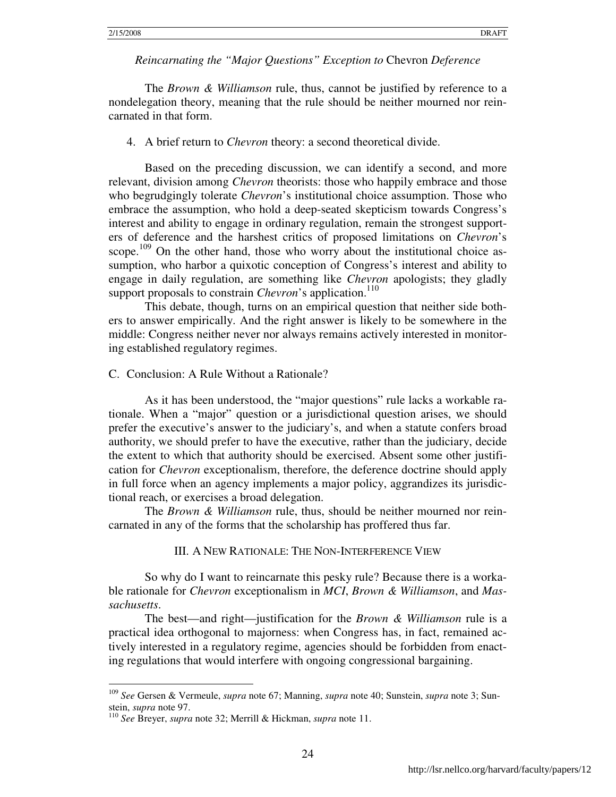The *Brown & Williamson* rule, thus, cannot be justified by reference to a nondelegation theory, meaning that the rule should be neither mourned nor reincarnated in that form.

4. A brief return to *Chevron* theory: a second theoretical divide.

Based on the preceding discussion, we can identify a second, and more relevant, division among *Chevron* theorists: those who happily embrace and those who begrudgingly tolerate *Chevron*'s institutional choice assumption. Those who embrace the assumption, who hold a deep-seated skepticism towards Congress's interest and ability to engage in ordinary regulation, remain the strongest supporters of deference and the harshest critics of proposed limitations on *Chevron*'s scope.<sup>109</sup> On the other hand, those who worry about the institutional choice assumption, who harbor a quixotic conception of Congress's interest and ability to engage in daily regulation, are something like *Chevron* apologists; they gladly support proposals to constrain *Chevron*'s application.<sup>110</sup>

This debate, though, turns on an empirical question that neither side bothers to answer empirically. And the right answer is likely to be somewhere in the middle: Congress neither never nor always remains actively interested in monitoring established regulatory regimes.

#### C. Conclusion: A Rule Without a Rationale?

As it has been understood, the "major questions" rule lacks a workable rationale. When a "major" question or a jurisdictional question arises, we should prefer the executive's answer to the judiciary's, and when a statute confers broad authority, we should prefer to have the executive, rather than the judiciary, decide the extent to which that authority should be exercised. Absent some other justification for *Chevron* exceptionalism, therefore, the deference doctrine should apply in full force when an agency implements a major policy, aggrandizes its jurisdictional reach, or exercises a broad delegation.

The *Brown & Williamson* rule, thus, should be neither mourned nor reincarnated in any of the forms that the scholarship has proffered thus far.

#### III. A NEW RATIONALE: THE NON-INTERFERENCE VIEW

So why do I want to reincarnate this pesky rule? Because there is a workable rationale for *Chevron* exceptionalism in *MCI*, *Brown & Williamson*, and *Massachusetts*.

The best—and right—justification for the *Brown & Williamson* rule is a practical idea orthogonal to majorness: when Congress has, in fact, remained actively interested in a regulatory regime, agencies should be forbidden from enacting regulations that would interfere with ongoing congressional bargaining.

<sup>109</sup> *See* Gersen & Vermeule, *supra* note 67; Manning, *supra* note 40; Sunstein, *supra* note 3; Sunstein, *supra* note 97.

<sup>110</sup> *See* Breyer, *supra* note 32; Merrill & Hickman, *supra* note 11.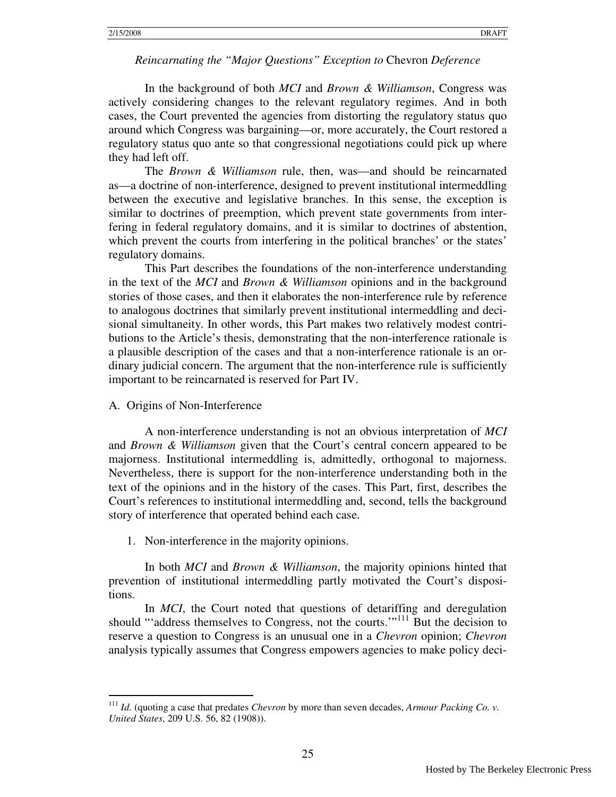In the background of both *MCI* and *Brown & Williamson*, Congress was actively considering changes to the relevant regulatory regimes. And in both cases, the Court prevented the agencies from distorting the regulatory status quo around which Congress was bargaining—or, more accurately, the Court restored a regulatory status quo ante so that congressional negotiations could pick up where they had left off.

The *Brown & Williamson* rule, then, was—and should be reincarnated as—a doctrine of non-interference, designed to prevent institutional intermeddling between the executive and legislative branches. In this sense, the exception is similar to doctrines of preemption, which prevent state governments from interfering in federal regulatory domains, and it is similar to doctrines of abstention, which prevent the courts from interfering in the political branches' or the states' regulatory domains.

This Part describes the foundations of the non-interference understanding in the text of the *MCI* and *Brown & Williamson* opinions and in the background stories of those cases, and then it elaborates the non-interference rule by reference to analogous doctrines that similarly prevent institutional intermeddling and decisional simultaneity. In other words, this Part makes two relatively modest contributions to the Article's thesis, demonstrating that the non-interference rationale is a plausible description of the cases and that a non-interference rationale is an ordinary judicial concern. The argument that the non-interference rule is sufficiently important to be reincarnated is reserved for Part IV.

A. Origins of Non-Interference

 $\overline{a}$ 

A non-interference understanding is not an obvious interpretation of *MCI*  and *Brown & Williamson* given that the Court's central concern appeared to be majorness. Institutional intermeddling is, admittedly, orthogonal to majorness. Nevertheless, there is support for the non-interference understanding both in the text of the opinions and in the history of the cases. This Part, first, describes the Court's references to institutional intermeddling and, second, tells the background story of interference that operated behind each case.

1. Non-interference in the majority opinions.

 In both *MCI* and *Brown & Williamson*, the majority opinions hinted that prevention of institutional intermeddling partly motivated the Court's dispositions.

In *MCI*, the Court noted that questions of detariffing and deregulation should "'address themselves to Congress, not the courts.'"<sup>111</sup> But the decision to reserve a question to Congress is an unusual one in a *Chevron* opinion; *Chevron* analysis typically assumes that Congress empowers agencies to make policy deci-

<sup>111</sup> *Id.* (quoting a case that predates *Chevron* by more than seven decades, *Armour Packing Co. v. United States*, 209 U.S. 56, 82 (1908)).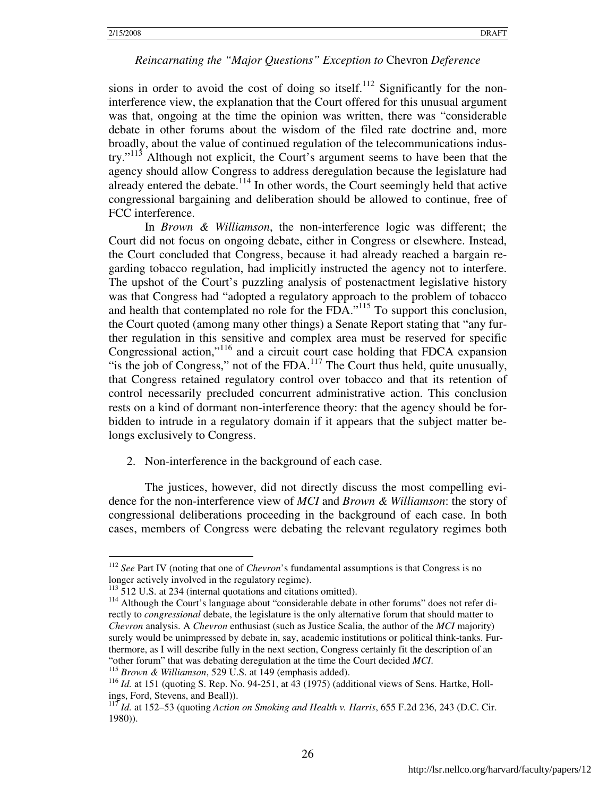sions in order to avoid the cost of doing so itself.<sup>112</sup> Significantly for the noninterference view, the explanation that the Court offered for this unusual argument was that, ongoing at the time the opinion was written, there was "considerable debate in other forums about the wisdom of the filed rate doctrine and, more broadly, about the value of continued regulation of the telecommunications industry."<sup>113</sup> Although not explicit, the Court's argument seems to have been that the agency should allow Congress to address deregulation because the legislature had already entered the debate.<sup>114</sup> In other words, the Court seemingly held that active congressional bargaining and deliberation should be allowed to continue, free of FCC interference.

In *Brown & Williamson*, the non-interference logic was different; the Court did not focus on ongoing debate, either in Congress or elsewhere. Instead, the Court concluded that Congress, because it had already reached a bargain regarding tobacco regulation, had implicitly instructed the agency not to interfere. The upshot of the Court's puzzling analysis of postenactment legislative history was that Congress had "adopted a regulatory approach to the problem of tobacco and health that contemplated no role for the FDA. $115$  To support this conclusion, the Court quoted (among many other things) a Senate Report stating that "any further regulation in this sensitive and complex area must be reserved for specific Congressional action,"<sup>116</sup> and a circuit court case holding that FDCA expansion "is the job of Congress," not of the FDA.<sup>117</sup> The Court thus held, quite unusually, that Congress retained regulatory control over tobacco and that its retention of control necessarily precluded concurrent administrative action. This conclusion rests on a kind of dormant non-interference theory: that the agency should be forbidden to intrude in a regulatory domain if it appears that the subject matter belongs exclusively to Congress.

2. Non-interference in the background of each case.

 The justices, however, did not directly discuss the most compelling evidence for the non-interference view of *MCI* and *Brown & Williamson*: the story of congressional deliberations proceeding in the background of each case. In both cases, members of Congress were debating the relevant regulatory regimes both

<sup>-</sup><sup>112</sup> *See* Part IV (noting that one of *Chevron*'s fundamental assumptions is that Congress is no longer actively involved in the regulatory regime).

<sup>&</sup>lt;sup>113</sup> 512 U.S. at 234 (internal quotations and citations omitted).

<sup>&</sup>lt;sup>114</sup> Although the Court's language about "considerable debate in other forums" does not refer directly to *congressional* debate, the legislature is the only alternative forum that should matter to *Chevron* analysis. A *Chevron* enthusiast (such as Justice Scalia, the author of the *MCI* majority) surely would be unimpressed by debate in, say, academic institutions or political think-tanks. Furthermore, as I will describe fully in the next section, Congress certainly fit the description of an "other forum" that was debating deregulation at the time the Court decided *MCI*.

<sup>115</sup> *Brown & Williamson*, 529 U.S. at 149 (emphasis added).

<sup>&</sup>lt;sup>116</sup> *Id.* at 151 (quoting S. Rep. No. 94-251, at 43 (1975) (additional views of Sens. Hartke, Hollings, Ford, Stevens, and Beall)).

<sup>&</sup>lt;sup>117</sup> *Id.* at 152–53 (quoting *Action on Smoking and Health v. Harris*, 655 F.2d 236, 243 (D.C. Cir. 1980)).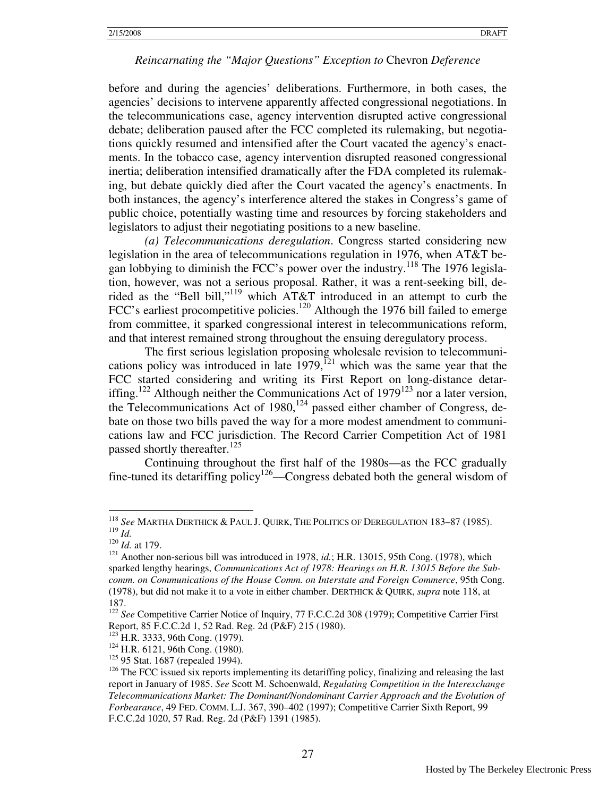before and during the agencies' deliberations. Furthermore, in both cases, the agencies' decisions to intervene apparently affected congressional negotiations. In the telecommunications case, agency intervention disrupted active congressional debate; deliberation paused after the FCC completed its rulemaking, but negotiations quickly resumed and intensified after the Court vacated the agency's enactments. In the tobacco case, agency intervention disrupted reasoned congressional inertia; deliberation intensified dramatically after the FDA completed its rulemaking, but debate quickly died after the Court vacated the agency's enactments. In both instances, the agency's interference altered the stakes in Congress's game of public choice, potentially wasting time and resources by forcing stakeholders and legislators to adjust their negotiating positions to a new baseline.

 *(a) Telecommunications deregulation*. Congress started considering new legislation in the area of telecommunications regulation in 1976, when AT&T began lobbying to diminish the FCC's power over the industry.<sup>118</sup> The 1976 legislation, however, was not a serious proposal. Rather, it was a rent-seeking bill, derided as the "Bell bill,"<sup>119</sup> which AT&T introduced in an attempt to curb the FCC's earliest procompetitive policies.<sup>120</sup> Although the 1976 bill failed to emerge from committee, it sparked congressional interest in telecommunications reform, and that interest remained strong throughout the ensuing deregulatory process.

 The first serious legislation proposing wholesale revision to telecommunications policy was introduced in late  $1979$ ,<sup> $121$ </sup> which was the same year that the FCC started considering and writing its First Report on long-distance detariffing.<sup>122</sup> Although neither the Communications Act of  $1979^{123}$  nor a later version, the Telecommunications Act of  $1980$ ,<sup>124</sup> passed either chamber of Congress, debate on those two bills paved the way for a more modest amendment to communications law and FCC jurisdiction. The Record Carrier Competition Act of 1981 passed shortly thereafter.<sup>125</sup>

 Continuing throughout the first half of the 1980s—as the FCC gradually fine-tuned its detariffing policy<sup>126</sup>—Congress debated both the general wisdom of

-

<sup>118</sup> *See* MARTHA DERTHICK & PAUL J. QUIRK, THE POLITICS OF DEREGULATION 183–87 (1985). <sup>119</sup> *Id.* 

<sup>120</sup> *Id.* at 179.

<sup>&</sup>lt;sup>121</sup> Another non-serious bill was introduced in 1978, *id.*; H.R. 13015, 95th Cong. (1978), which sparked lengthy hearings, *Communications Act of 1978: Hearings on H.R. 13015 Before the Subcomm. on Communications of the House Comm. on Interstate and Foreign Commerce*, 95th Cong. (1978), but did not make it to a vote in either chamber. DERTHICK & QUIRK, *supra* note 118, at 187.

<sup>122</sup> *See* Competitive Carrier Notice of Inquiry, 77 F.C.C.2d 308 (1979); Competitive Carrier First Report, 85 F.C.C.2d 1, 52 Rad. Reg. 2d (P&F) 215 (1980).

<sup>123</sup> H.R. 3333, 96th Cong. (1979).

<sup>124</sup> H.R. 6121, 96th Cong. (1980).

<sup>&</sup>lt;sup>125</sup> 95 Stat. 1687 (repealed 1994).

 $126$  The FCC issued six reports implementing its detariffing policy, finalizing and releasing the last report in January of 1985. *See* Scott M. Schoenwald, *Regulating Competition in the Interexchange Telecommunications Market: The Dominant/Nondominant Carrier Approach and the Evolution of Forbearance*, 49 FED. COMM. L.J. 367, 390–402 (1997); Competitive Carrier Sixth Report, 99 F.C.C.2d 1020, 57 Rad. Reg. 2d (P&F) 1391 (1985).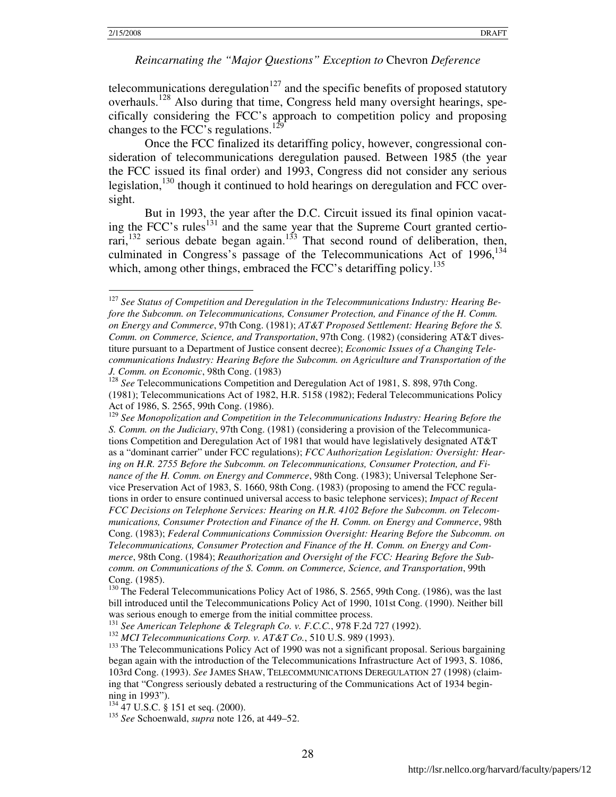<u>.</u>

#### *Reincarnating the "Major Questions" Exception to* Chevron *Deference*

telecommunications deregulation<sup>127</sup> and the specific benefits of proposed statutory overhauls.<sup>128</sup> Also during that time, Congress held many oversight hearings, specifically considering the FCC's approach to competition policy and proposing changes to the FCC's regulations.<sup>129</sup>

 Once the FCC finalized its detariffing policy, however, congressional consideration of telecommunications deregulation paused. Between 1985 (the year the FCC issued its final order) and 1993, Congress did not consider any serious legislation,<sup>130</sup> though it continued to hold hearings on deregulation and FCC oversight.

But in 1993, the year after the D.C. Circuit issued its final opinion vacating the FCC's rules<sup>131</sup> and the same year that the Supreme Court granted certiorari,<sup>132</sup> serious debate began again.<sup>133</sup> That second round of deliberation, then, culminated in Congress's passage of the Telecommunications Act of 1996,<sup>134</sup> which, among other things, embraced the FCC's detariffing policy.<sup>135</sup>

<sup>127</sup> *See Status of Competition and Deregulation in the Telecommunications Industry: Hearing Before the Subcomm. on Telecommunications, Consumer Protection, and Finance of the H. Comm. on Energy and Commerce*, 97th Cong. (1981); *AT&T Proposed Settlement: Hearing Before the S. Comm. on Commerce, Science, and Transportation*, 97th Cong. (1982) (considering AT&T divestiture pursuant to a Department of Justice consent decree); *Economic Issues of a Changing Telecommunications Industry: Hearing Before the Subcomm. on Agriculture and Transportation of the J. Comm. on Economic*, 98th Cong. (1983)

<sup>&</sup>lt;sup>128</sup> See Telecommunications Competition and Deregulation Act of 1981, S. 898, 97th Cong. (1981); Telecommunications Act of 1982, H.R. 5158 (1982); Federal Telecommunications Policy Act of 1986, S. 2565, 99th Cong. (1986).

<sup>129</sup> *See Monopolization and Competition in the Telecommunications Industry: Hearing Before the S. Comm. on the Judiciary*, 97th Cong. (1981) (considering a provision of the Telecommunications Competition and Deregulation Act of 1981 that would have legislatively designated AT&T as a "dominant carrier" under FCC regulations); *FCC Authorization Legislation: Oversight: Hearing on H.R. 2755 Before the Subcomm. on Telecommunications, Consumer Protection, and Finance of the H. Comm. on Energy and Commerce*, 98th Cong. (1983); Universal Telephone Service Preservation Act of 1983, S. 1660, 98th Cong. (1983) (proposing to amend the FCC regulations in order to ensure continued universal access to basic telephone services); *Impact of Recent FCC Decisions on Telephone Services: Hearing on H.R. 4102 Before the Subcomm. on Telecommunications, Consumer Protection and Finance of the H. Comm. on Energy and Commerce*, 98th Cong. (1983); *Federal Communications Commission Oversight: Hearing Before the Subcomm. on Telecommunications, Consumer Protection and Finance of the H. Comm. on Energy and Commerce*, 98th Cong. (1984); *Reauthorization and Oversight of the FCC: Hearing Before the Subcomm. on Communications of the S. Comm. on Commerce, Science, and Transportation*, 99th Cong. (1985).

<sup>&</sup>lt;sup>130</sup> The Federal Telecommunications Policy Act of 1986, S. 2565, 99th Cong. (1986), was the last bill introduced until the Telecommunications Policy Act of 1990, 101st Cong. (1990). Neither bill was serious enough to emerge from the initial committee process.

<sup>131</sup> *See American Telephone & Telegraph Co. v. F.C.C.*, 978 F.2d 727 (1992).

<sup>132</sup> *MCI Telecommunications Corp. v. AT&T Co.*, 510 U.S. 989 (1993).

<sup>&</sup>lt;sup>133</sup> The Telecommunications Policy Act of 1990 was not a significant proposal. Serious bargaining began again with the introduction of the Telecommunications Infrastructure Act of 1993, S. 1086, 103rd Cong. (1993). *See* JAMES SHAW, TELECOMMUNICATIONS DEREGULATION 27 (1998) (claiming that "Congress seriously debated a restructuring of the Communications Act of 1934 beginning in 1993").

<sup>&</sup>lt;sup>134</sup> 47 U.S.C. § 151 et seq. (2000).

<sup>135</sup> *See* Schoenwald, *supra* note 126, at 449–52.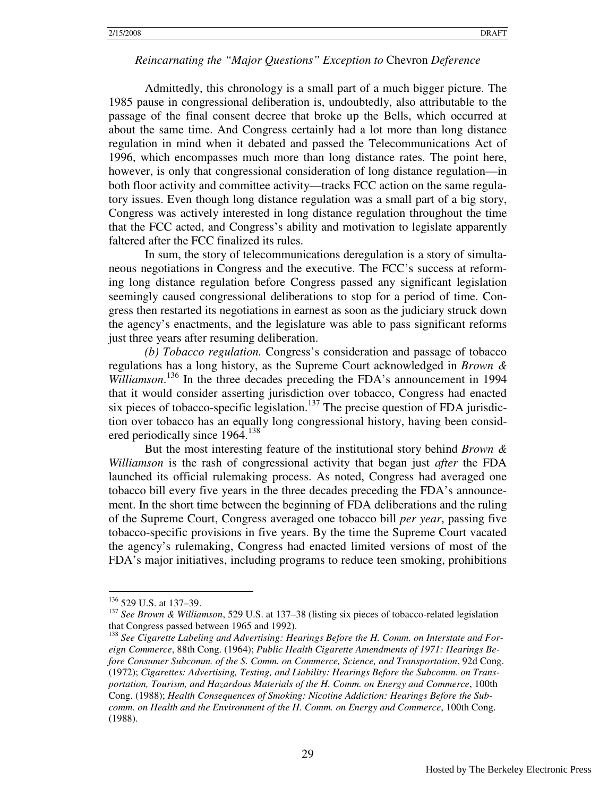Admittedly, this chronology is a small part of a much bigger picture. The 1985 pause in congressional deliberation is, undoubtedly, also attributable to the passage of the final consent decree that broke up the Bells, which occurred at about the same time. And Congress certainly had a lot more than long distance regulation in mind when it debated and passed the Telecommunications Act of 1996, which encompasses much more than long distance rates. The point here, however, is only that congressional consideration of long distance regulation—in both floor activity and committee activity—tracks FCC action on the same regulatory issues. Even though long distance regulation was a small part of a big story, Congress was actively interested in long distance regulation throughout the time that the FCC acted, and Congress's ability and motivation to legislate apparently faltered after the FCC finalized its rules.

 In sum, the story of telecommunications deregulation is a story of simultaneous negotiations in Congress and the executive. The FCC's success at reforming long distance regulation before Congress passed any significant legislation seemingly caused congressional deliberations to stop for a period of time. Congress then restarted its negotiations in earnest as soon as the judiciary struck down the agency's enactments, and the legislature was able to pass significant reforms just three years after resuming deliberation.

*(b) Tobacco regulation.* Congress's consideration and passage of tobacco regulations has a long history, as the Supreme Court acknowledged in *Brown & Williamson*. <sup>136</sup> In the three decades preceding the FDA's announcement in 1994 that it would consider asserting jurisdiction over tobacco, Congress had enacted six pieces of tobacco-specific legislation.<sup>137</sup> The precise question of FDA jurisdiction over tobacco has an equally long congressional history, having been considered periodically since 1964.<sup>138</sup>

 But the most interesting feature of the institutional story behind *Brown & Williamson* is the rash of congressional activity that began just *after* the FDA launched its official rulemaking process. As noted, Congress had averaged one tobacco bill every five years in the three decades preceding the FDA's announcement. In the short time between the beginning of FDA deliberations and the ruling of the Supreme Court, Congress averaged one tobacco bill *per year*, passing five tobacco-specific provisions in five years. By the time the Supreme Court vacated the agency's rulemaking, Congress had enacted limited versions of most of the FDA's major initiatives, including programs to reduce teen smoking, prohibitions

 $136$  529 U.S. at 137–39.

<sup>137</sup> *See Brown & Williamson*, 529 U.S. at 137–38 (listing six pieces of tobacco-related legislation that Congress passed between 1965 and 1992).

<sup>&</sup>lt;sup>138</sup> See Cigarette Labeling and Advertising: Hearings Before the H. Comm. on Interstate and For*eign Commerce*, 88th Cong. (1964); *Public Health Cigarette Amendments of 1971: Hearings Before Consumer Subcomm. of the S. Comm. on Commerce, Science, and Transportation*, 92d Cong. (1972); *Cigarettes: Advertising, Testing, and Liability: Hearings Before the Subcomm. on Transportation, Tourism, and Hazardous Materials of the H. Comm. on Energy and Commerce*, 100th Cong. (1988); *Health Consequences of Smoking: Nicotine Addiction: Hearings Before the Subcomm. on Health and the Environment of the H. Comm. on Energy and Commerce*, 100th Cong. (1988).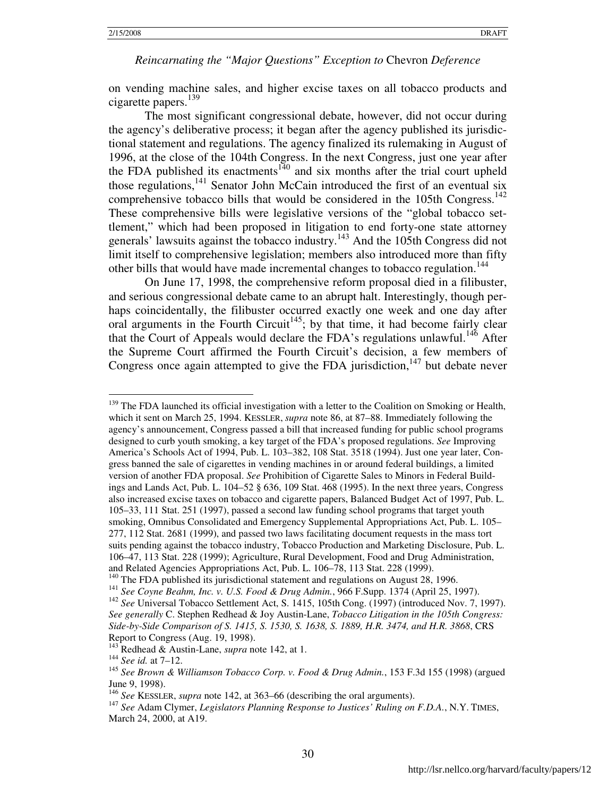on vending machine sales, and higher excise taxes on all tobacco products and cigarette papers.<sup>139</sup>

 The most significant congressional debate, however, did not occur during the agency's deliberative process; it began after the agency published its jurisdictional statement and regulations. The agency finalized its rulemaking in August of 1996, at the close of the 104th Congress. In the next Congress, just one year after the FDA published its enactments<sup>140</sup> and six months after the trial court upheld those regulations,<sup>141</sup> Senator John McCain introduced the first of an eventual six comprehensive tobacco bills that would be considered in the 105th Congress.<sup>142</sup> These comprehensive bills were legislative versions of the "global tobacco settlement," which had been proposed in litigation to end forty-one state attorney generals' lawsuits against the tobacco industry.<sup>143</sup> And the 105th Congress did not limit itself to comprehensive legislation; members also introduced more than fifty other bills that would have made incremental changes to tobacco regulation.<sup>144</sup>

 On June 17, 1998, the comprehensive reform proposal died in a filibuster, and serious congressional debate came to an abrupt halt. Interestingly, though perhaps coincidentally, the filibuster occurred exactly one week and one day after oral arguments in the Fourth Circuit<sup>145</sup>; by that time, it had become fairly clear that the Court of Appeals would declare the FDA's regulations unlawful.<sup>146</sup> After the Supreme Court affirmed the Fourth Circuit's decision, a few members of Congress once again attempted to give the FDA jurisdiction, $147$  but debate never

<sup>139</sup> The FDA launched its official investigation with a letter to the Coalition on Smoking or Health, which it sent on March 25, 1994. KESSLER, *supra* note 86, at 87–88. Immediately following the agency's announcement, Congress passed a bill that increased funding for public school programs designed to curb youth smoking, a key target of the FDA's proposed regulations. *See* Improving America's Schools Act of 1994, Pub. L. 103–382, 108 Stat. 3518 (1994). Just one year later, Congress banned the sale of cigarettes in vending machines in or around federal buildings, a limited version of another FDA proposal. *See* Prohibition of Cigarette Sales to Minors in Federal Buildings and Lands Act, Pub. L. 104–52 § 636, 109 Stat. 468 (1995). In the next three years, Congress also increased excise taxes on tobacco and cigarette papers, Balanced Budget Act of 1997, Pub. L. 105–33, 111 Stat. 251 (1997), passed a second law funding school programs that target youth smoking, Omnibus Consolidated and Emergency Supplemental Appropriations Act, Pub. L. 105– 277, 112 Stat. 2681 (1999), and passed two laws facilitating document requests in the mass tort suits pending against the tobacco industry, Tobacco Production and Marketing Disclosure, Pub. L. 106–47, 113 Stat. 228 (1999); Agriculture, Rural Development, Food and Drug Administration, and Related Agencies Appropriations Act, Pub. L. 106–78, 113 Stat. 228 (1999).

<sup>&</sup>lt;sup>140</sup> The FDA published its jurisdictional statement and regulations on August 28, 1996.

<sup>141</sup> *See Coyne Beahm, Inc. v. U.S. Food & Drug Admin.*, 966 F.Supp. 1374 (April 25, 1997).

<sup>&</sup>lt;sup>142</sup> See Universal Tobacco Settlement Act, S. 1415, 105th Cong. (1997) (introduced Nov. 7, 1997). *See generally* C. Stephen Redhead & Joy Austin-Lane, *Tobacco Litigation in the 105th Congress: Side-by-Side Comparison of S. 1415, S. 1530, S. 1638, S. 1889, H.R. 3474, and H.R. 3868*, CRS Report to Congress (Aug. 19, 1998).

<sup>143</sup> Redhead & Austin-Lane, *supra* note 142, at 1.

<sup>144</sup> *See id.* at 7–12.

<sup>145</sup> *See Brown & Williamson Tobacco Corp. v. Food & Drug Admin.*, 153 F.3d 155 (1998) (argued June 9, 1998).

<sup>146</sup> *See* KESSLER, *supra* note 142, at 363–66 (describing the oral arguments).

<sup>147</sup> *See* Adam Clymer, *Legislators Planning Response to Justices' Ruling on F.D.A.*, N.Y. TIMES, March 24, 2000, at A19.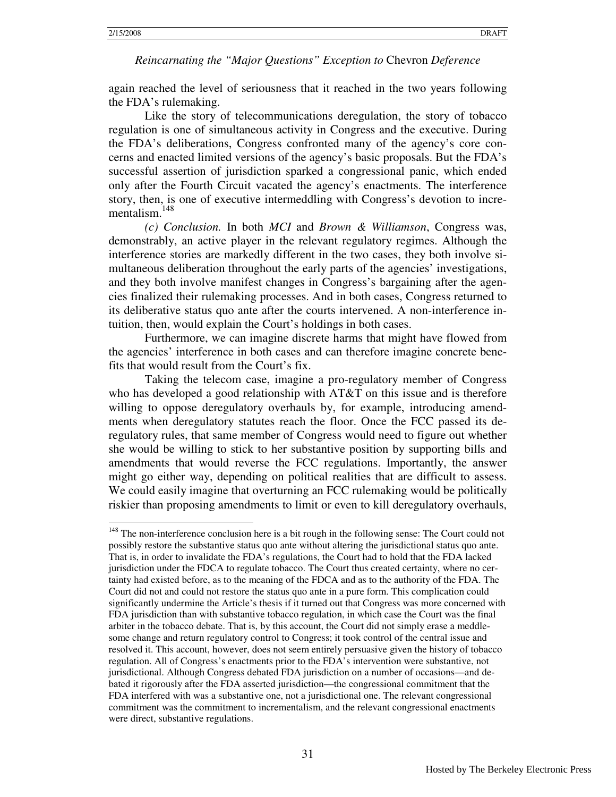$\overline{a}$ 

#### *Reincarnating the "Major Questions" Exception to* Chevron *Deference*

again reached the level of seriousness that it reached in the two years following the FDA's rulemaking.

Like the story of telecommunications deregulation, the story of tobacco regulation is one of simultaneous activity in Congress and the executive. During the FDA's deliberations, Congress confronted many of the agency's core concerns and enacted limited versions of the agency's basic proposals. But the FDA's successful assertion of jurisdiction sparked a congressional panic, which ended only after the Fourth Circuit vacated the agency's enactments. The interference story, then, is one of executive intermeddling with Congress's devotion to incrementalism.<sup>148</sup>

*(c) Conclusion.* In both *MCI* and *Brown & Williamson*, Congress was, demonstrably, an active player in the relevant regulatory regimes. Although the interference stories are markedly different in the two cases, they both involve simultaneous deliberation throughout the early parts of the agencies' investigations, and they both involve manifest changes in Congress's bargaining after the agencies finalized their rulemaking processes. And in both cases, Congress returned to its deliberative status quo ante after the courts intervened. A non-interference intuition, then, would explain the Court's holdings in both cases.

Furthermore, we can imagine discrete harms that might have flowed from the agencies' interference in both cases and can therefore imagine concrete benefits that would result from the Court's fix.

Taking the telecom case, imagine a pro-regulatory member of Congress who has developed a good relationship with AT&T on this issue and is therefore willing to oppose deregulatory overhauls by, for example, introducing amendments when deregulatory statutes reach the floor. Once the FCC passed its deregulatory rules, that same member of Congress would need to figure out whether she would be willing to stick to her substantive position by supporting bills and amendments that would reverse the FCC regulations. Importantly, the answer might go either way, depending on political realities that are difficult to assess. We could easily imagine that overturning an FCC rulemaking would be politically riskier than proposing amendments to limit or even to kill deregulatory overhauls,

<sup>&</sup>lt;sup>148</sup> The non-interference conclusion here is a bit rough in the following sense: The Court could not possibly restore the substantive status quo ante without altering the jurisdictional status quo ante. That is, in order to invalidate the FDA's regulations, the Court had to hold that the FDA lacked jurisdiction under the FDCA to regulate tobacco. The Court thus created certainty, where no certainty had existed before, as to the meaning of the FDCA and as to the authority of the FDA. The Court did not and could not restore the status quo ante in a pure form. This complication could significantly undermine the Article's thesis if it turned out that Congress was more concerned with FDA jurisdiction than with substantive tobacco regulation, in which case the Court was the final arbiter in the tobacco debate. That is, by this account, the Court did not simply erase a meddlesome change and return regulatory control to Congress; it took control of the central issue and resolved it. This account, however, does not seem entirely persuasive given the history of tobacco regulation. All of Congress's enactments prior to the FDA's intervention were substantive, not jurisdictional. Although Congress debated FDA jurisdiction on a number of occasions—and debated it rigorously after the FDA asserted jurisdiction—the congressional commitment that the FDA interfered with was a substantive one, not a jurisdictional one. The relevant congressional commitment was the commitment to incrementalism, and the relevant congressional enactments were direct, substantive regulations.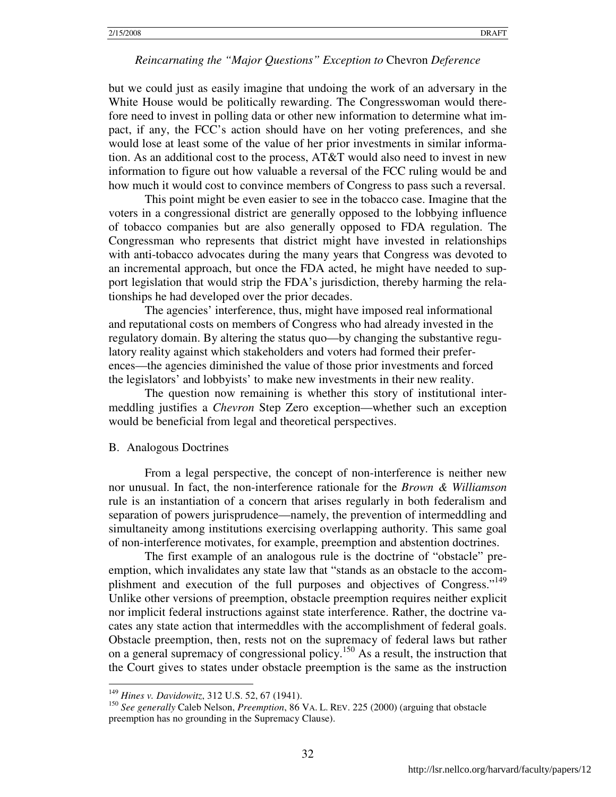but we could just as easily imagine that undoing the work of an adversary in the White House would be politically rewarding. The Congresswoman would therefore need to invest in polling data or other new information to determine what impact, if any, the FCC's action should have on her voting preferences, and she would lose at least some of the value of her prior investments in similar information. As an additional cost to the process, AT&T would also need to invest in new information to figure out how valuable a reversal of the FCC ruling would be and how much it would cost to convince members of Congress to pass such a reversal.

This point might be even easier to see in the tobacco case. Imagine that the voters in a congressional district are generally opposed to the lobbying influence of tobacco companies but are also generally opposed to FDA regulation. The Congressman who represents that district might have invested in relationships with anti-tobacco advocates during the many years that Congress was devoted to an incremental approach, but once the FDA acted, he might have needed to support legislation that would strip the FDA's jurisdiction, thereby harming the relationships he had developed over the prior decades.

 The agencies' interference, thus, might have imposed real informational and reputational costs on members of Congress who had already invested in the regulatory domain. By altering the status quo—by changing the substantive regulatory reality against which stakeholders and voters had formed their preferences—the agencies diminished the value of those prior investments and forced the legislators' and lobbyists' to make new investments in their new reality.

The question now remaining is whether this story of institutional intermeddling justifies a *Chevron* Step Zero exception—whether such an exception would be beneficial from legal and theoretical perspectives.

#### B. Analogous Doctrines

From a legal perspective, the concept of non-interference is neither new nor unusual. In fact, the non-interference rationale for the *Brown & Williamson* rule is an instantiation of a concern that arises regularly in both federalism and separation of powers jurisprudence—namely, the prevention of intermeddling and simultaneity among institutions exercising overlapping authority. This same goal of non-interference motivates, for example, preemption and abstention doctrines.

The first example of an analogous rule is the doctrine of "obstacle" preemption, which invalidates any state law that "stands as an obstacle to the accomplishment and execution of the full purposes and objectives of Congress."<sup>149</sup> Unlike other versions of preemption, obstacle preemption requires neither explicit nor implicit federal instructions against state interference. Rather, the doctrine vacates any state action that intermeddles with the accomplishment of federal goals. Obstacle preemption, then, rests not on the supremacy of federal laws but rather on a general supremacy of congressional policy.<sup>150</sup> As a result, the instruction that the Court gives to states under obstacle preemption is the same as the instruction

<u>.</u>

<sup>149</sup> *Hines v. Davidowitz*, 312 U.S. 52, 67 (1941).

<sup>150</sup> *See generally* Caleb Nelson, *Preemption*, 86 VA. L. REV. 225 (2000) (arguing that obstacle preemption has no grounding in the Supremacy Clause).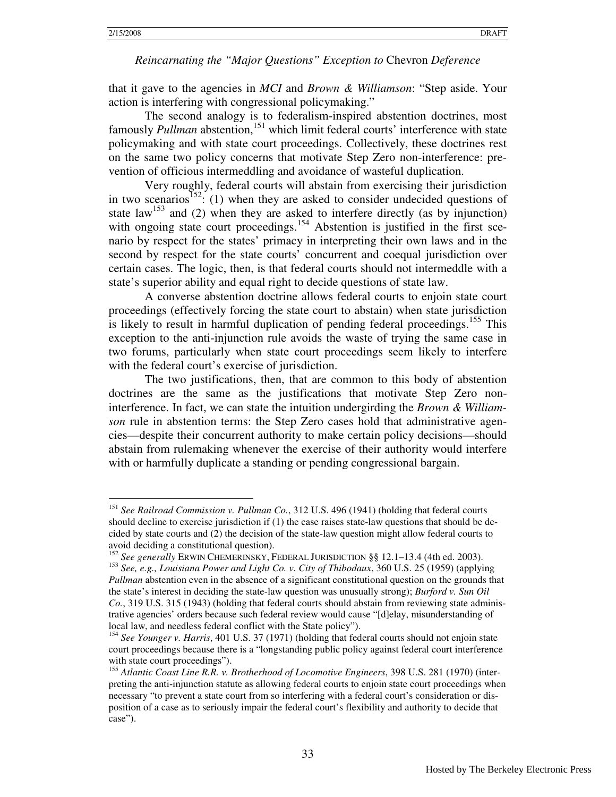<u>.</u>

#### *Reincarnating the "Major Questions" Exception to* Chevron *Deference*

that it gave to the agencies in *MCI* and *Brown & Williamson*: "Step aside. Your action is interfering with congressional policymaking."

The second analogy is to federalism-inspired abstention doctrines, most famously *Pullman* abstention,<sup>151</sup> which limit federal courts' interference with state policymaking and with state court proceedings. Collectively, these doctrines rest on the same two policy concerns that motivate Step Zero non-interference: prevention of officious intermeddling and avoidance of wasteful duplication.

Very roughly, federal courts will abstain from exercising their jurisdiction in two scenarios<sup>152</sup>: (1) when they are asked to consider undecided questions of state law<sup>153</sup> and (2) when they are asked to interfere directly (as by injunction) with ongoing state court proceedings.<sup>154</sup> Abstention is justified in the first scenario by respect for the states' primacy in interpreting their own laws and in the second by respect for the state courts' concurrent and coequal jurisdiction over certain cases. The logic, then, is that federal courts should not intermeddle with a state's superior ability and equal right to decide questions of state law.

A converse abstention doctrine allows federal courts to enjoin state court proceedings (effectively forcing the state court to abstain) when state jurisdiction is likely to result in harmful duplication of pending federal proceedings.<sup>155</sup> This exception to the anti-injunction rule avoids the waste of trying the same case in two forums, particularly when state court proceedings seem likely to interfere with the federal court's exercise of jurisdiction.

The two justifications, then, that are common to this body of abstention doctrines are the same as the justifications that motivate Step Zero noninterference. In fact, we can state the intuition undergirding the *Brown & Williamson* rule in abstention terms: the Step Zero cases hold that administrative agencies—despite their concurrent authority to make certain policy decisions—should abstain from rulemaking whenever the exercise of their authority would interfere with or harmfully duplicate a standing or pending congressional bargain.

<sup>151</sup> *See Railroad Commission v. Pullman Co.*, 312 U.S. 496 (1941) (holding that federal courts should decline to exercise jurisdiction if (1) the case raises state-law questions that should be decided by state courts and (2) the decision of the state-law question might allow federal courts to avoid deciding a constitutional question).

<sup>152</sup> *See generally* ERWIN CHEMERINSKY, FEDERAL JURISDICTION §§ 12.1–13.4 (4th ed. 2003).

<sup>153</sup> *See, e.g., Louisiana Power and Light Co. v. City of Thibodaux*, 360 U.S. 25 (1959) (applying *Pullman* abstention even in the absence of a significant constitutional question on the grounds that the state's interest in deciding the state-law question was unusually strong); *Burford v. Sun Oil Co.*, 319 U.S. 315 (1943) (holding that federal courts should abstain from reviewing state administrative agencies' orders because such federal review would cause "[d]elay, misunderstanding of local law, and needless federal conflict with the State policy").

<sup>&</sup>lt;sup>154</sup> See Younger v. Harris, 401 U.S. 37 (1971) (holding that federal courts should not enjoin state court proceedings because there is a "longstanding public policy against federal court interference with state court proceedings").

<sup>155</sup> *Atlantic Coast Line R.R. v. Brotherhood of Locomotive Engineers*, 398 U.S. 281 (1970) (interpreting the anti-injunction statute as allowing federal courts to enjoin state court proceedings when necessary "to prevent a state court from so interfering with a federal court's consideration or disposition of a case as to seriously impair the federal court's flexibility and authority to decide that case").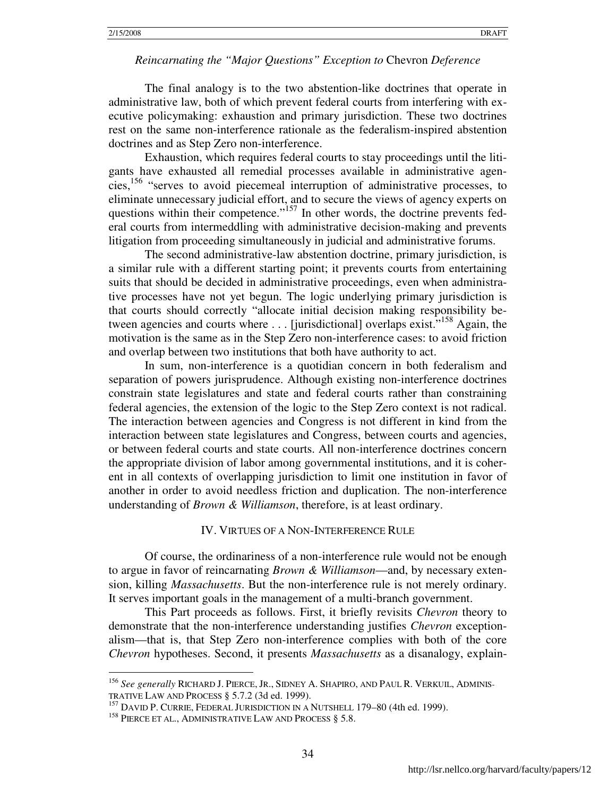The final analogy is to the two abstention-like doctrines that operate in administrative law, both of which prevent federal courts from interfering with executive policymaking: exhaustion and primary jurisdiction. These two doctrines rest on the same non-interference rationale as the federalism-inspired abstention doctrines and as Step Zero non-interference.

Exhaustion, which requires federal courts to stay proceedings until the litigants have exhausted all remedial processes available in administrative agencies,<sup>156</sup> "serves to avoid piecemeal interruption of administrative processes, to eliminate unnecessary judicial effort, and to secure the views of agency experts on questions within their competence."<sup>157</sup> In other words, the doctrine prevents federal courts from intermeddling with administrative decision-making and prevents litigation from proceeding simultaneously in judicial and administrative forums.

The second administrative-law abstention doctrine, primary jurisdiction, is a similar rule with a different starting point; it prevents courts from entertaining suits that should be decided in administrative proceedings, even when administrative processes have not yet begun. The logic underlying primary jurisdiction is that courts should correctly "allocate initial decision making responsibility between agencies and courts where . . . [jurisdictional] overlaps exist."<sup>158</sup> Again, the motivation is the same as in the Step Zero non-interference cases: to avoid friction and overlap between two institutions that both have authority to act.

In sum, non-interference is a quotidian concern in both federalism and separation of powers jurisprudence. Although existing non-interference doctrines constrain state legislatures and state and federal courts rather than constraining federal agencies, the extension of the logic to the Step Zero context is not radical. The interaction between agencies and Congress is not different in kind from the interaction between state legislatures and Congress, between courts and agencies, or between federal courts and state courts. All non-interference doctrines concern the appropriate division of labor among governmental institutions, and it is coherent in all contexts of overlapping jurisdiction to limit one institution in favor of another in order to avoid needless friction and duplication. The non-interference understanding of *Brown & Williamson*, therefore, is at least ordinary.

#### IV. VIRTUES OF A NON-INTERFERENCE RULE

Of course, the ordinariness of a non-interference rule would not be enough to argue in favor of reincarnating *Brown & Williamson*—and, by necessary extension, killing *Massachusetts*. But the non-interference rule is not merely ordinary. It serves important goals in the management of a multi-branch government.

This Part proceeds as follows. First, it briefly revisits *Chevron* theory to demonstrate that the non-interference understanding justifies *Chevron* exceptionalism—that is, that Step Zero non-interference complies with both of the core *Chevron* hypotheses. Second, it presents *Massachusetts* as a disanalogy, explain-

<sup>156</sup> *See generally* RICHARD J. PIERCE, JR., SIDNEY A. SHAPIRO, AND PAUL R. VERKUIL, ADMINIS-TRATIVE LAW AND PROCESS § 5.7.2 (3d ed. 1999).

<sup>&</sup>lt;sup>157</sup> DAVID P. CURRIE, FEDERAL JURISDICTION IN A NUTSHELL 179-80 (4th ed. 1999).

<sup>&</sup>lt;sup>158</sup> PIERCE ET AL., ADMINISTRATIVE LAW AND PROCESS § 5.8.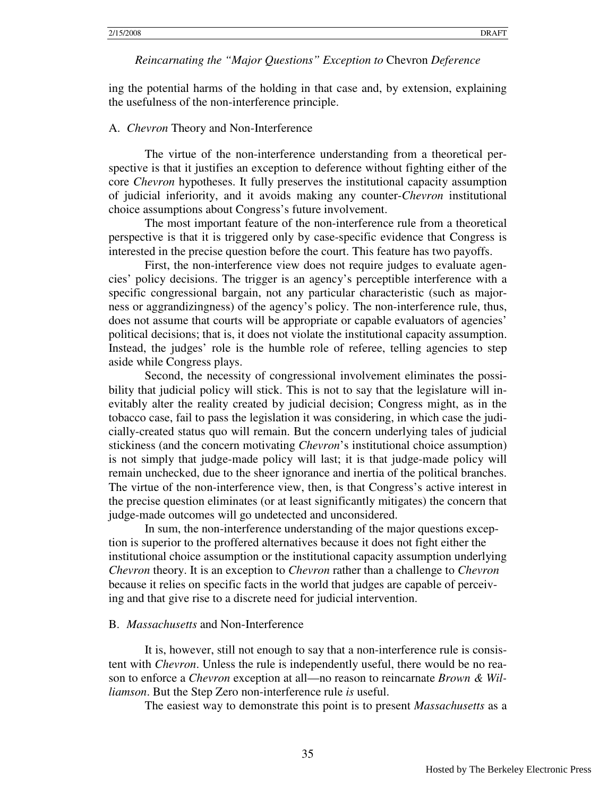ing the potential harms of the holding in that case and, by extension, explaining the usefulness of the non-interference principle.

#### A. *Chevron* Theory and Non-Interference

The virtue of the non-interference understanding from a theoretical perspective is that it justifies an exception to deference without fighting either of the core *Chevron* hypotheses. It fully preserves the institutional capacity assumption of judicial inferiority, and it avoids making any counter-*Chevron* institutional choice assumptions about Congress's future involvement.

The most important feature of the non-interference rule from a theoretical perspective is that it is triggered only by case-specific evidence that Congress is interested in the precise question before the court. This feature has two payoffs.

First, the non-interference view does not require judges to evaluate agencies' policy decisions. The trigger is an agency's perceptible interference with a specific congressional bargain, not any particular characteristic (such as majorness or aggrandizingness) of the agency's policy. The non-interference rule, thus, does not assume that courts will be appropriate or capable evaluators of agencies' political decisions; that is, it does not violate the institutional capacity assumption. Instead, the judges' role is the humble role of referee, telling agencies to step aside while Congress plays.

Second, the necessity of congressional involvement eliminates the possibility that judicial policy will stick. This is not to say that the legislature will inevitably alter the reality created by judicial decision; Congress might, as in the tobacco case, fail to pass the legislation it was considering, in which case the judicially-created status quo will remain. But the concern underlying tales of judicial stickiness (and the concern motivating *Chevron*'s institutional choice assumption) is not simply that judge-made policy will last; it is that judge-made policy will remain unchecked, due to the sheer ignorance and inertia of the political branches. The virtue of the non-interference view, then, is that Congress's active interest in the precise question eliminates (or at least significantly mitigates) the concern that judge-made outcomes will go undetected and unconsidered.

In sum, the non-interference understanding of the major questions exception is superior to the proffered alternatives because it does not fight either the institutional choice assumption or the institutional capacity assumption underlying *Chevron* theory. It is an exception to *Chevron* rather than a challenge to *Chevron* because it relies on specific facts in the world that judges are capable of perceiving and that give rise to a discrete need for judicial intervention.

#### B. *Massachusetts* and Non-Interference

It is, however, still not enough to say that a non-interference rule is consistent with *Chevron*. Unless the rule is independently useful, there would be no reason to enforce a *Chevron* exception at all—no reason to reincarnate *Brown & Williamson*. But the Step Zero non-interference rule *is* useful.

The easiest way to demonstrate this point is to present *Massachusetts* as a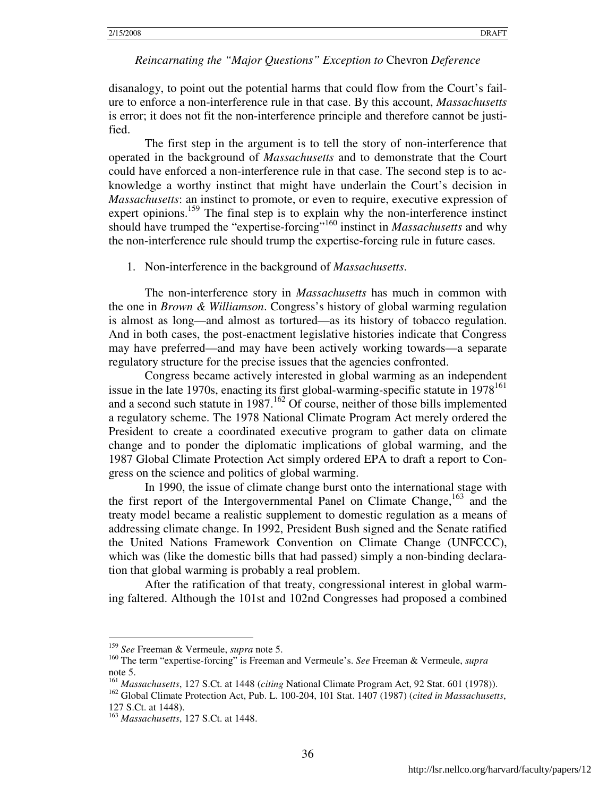disanalogy, to point out the potential harms that could flow from the Court's failure to enforce a non-interference rule in that case. By this account, *Massachusetts* is error; it does not fit the non-interference principle and therefore cannot be justified.

The first step in the argument is to tell the story of non-interference that operated in the background of *Massachusetts* and to demonstrate that the Court could have enforced a non-interference rule in that case. The second step is to acknowledge a worthy instinct that might have underlain the Court's decision in *Massachusetts*: an instinct to promote, or even to require, executive expression of expert opinions.<sup>159</sup> The final step is to explain why the non-interference instinct should have trumped the "expertise-forcing"<sup>160</sup> instinct in *Massachusetts* and why the non-interference rule should trump the expertise-forcing rule in future cases.

#### 1. Non-interference in the background of *Massachusetts*.

The non-interference story in *Massachusetts* has much in common with the one in *Brown & Williamson*. Congress's history of global warming regulation is almost as long—and almost as tortured—as its history of tobacco regulation. And in both cases, the post-enactment legislative histories indicate that Congress may have preferred—and may have been actively working towards—a separate regulatory structure for the precise issues that the agencies confronted.

Congress became actively interested in global warming as an independent issue in the late 1970s, enacting its first global-warming-specific statute in 1978<sup>161</sup> and a second such statute in  $1987$ .<sup>162</sup> Of course, neither of those bills implemented a regulatory scheme. The 1978 National Climate Program Act merely ordered the President to create a coordinated executive program to gather data on climate change and to ponder the diplomatic implications of global warming, and the 1987 Global Climate Protection Act simply ordered EPA to draft a report to Congress on the science and politics of global warming.

In 1990, the issue of climate change burst onto the international stage with the first report of the Intergovernmental Panel on Climate Change,  $^{163}$  and the treaty model became a realistic supplement to domestic regulation as a means of addressing climate change. In 1992, President Bush signed and the Senate ratified the United Nations Framework Convention on Climate Change (UNFCCC), which was (like the domestic bills that had passed) simply a non-binding declaration that global warming is probably a real problem.

After the ratification of that treaty, congressional interest in global warming faltered. Although the 101st and 102nd Congresses had proposed a combined

 $\overline{a}$ <sup>159</sup> *See* Freeman & Vermeule, *supra* note 5.

<sup>160</sup> The term "expertise-forcing" is Freeman and Vermeule's. *See* Freeman & Vermeule, *supra* note 5.

<sup>161</sup> *Massachusetts*, 127 S.Ct. at 1448 (*citing* National Climate Program Act, 92 Stat. 601 (1978)).

<sup>162</sup> Global Climate Protection Act, Pub. L. 100-204, 101 Stat. 1407 (1987) (*cited in Massachusetts*, 127 S.Ct. at 1448).

<sup>163</sup> *Massachusetts*, 127 S.Ct. at 1448.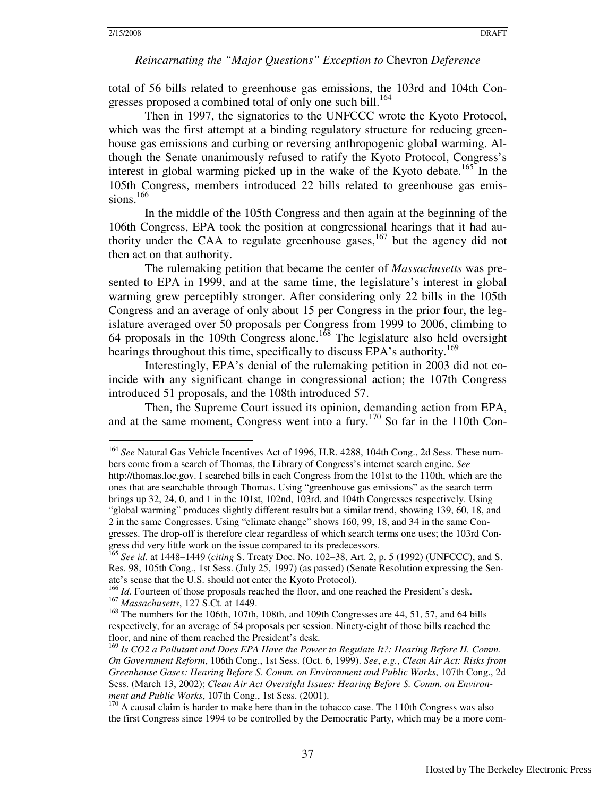$\overline{a}$ 

#### *Reincarnating the "Major Questions" Exception to* Chevron *Deference*

total of 56 bills related to greenhouse gas emissions, the 103rd and 104th Congresses proposed a combined total of only one such bill.<sup>164</sup>

Then in 1997, the signatories to the UNFCCC wrote the Kyoto Protocol, which was the first attempt at a binding regulatory structure for reducing greenhouse gas emissions and curbing or reversing anthropogenic global warming. Although the Senate unanimously refused to ratify the Kyoto Protocol, Congress's interest in global warming picked up in the wake of the Kyoto debate.<sup>165</sup> In the 105th Congress, members introduced 22 bills related to greenhouse gas emissions. $166$ 

In the middle of the 105th Congress and then again at the beginning of the 106th Congress, EPA took the position at congressional hearings that it had authority under the CAA to regulate greenhouse gases,  $167$  but the agency did not then act on that authority.

The rulemaking petition that became the center of *Massachusetts* was presented to EPA in 1999, and at the same time, the legislature's interest in global warming grew perceptibly stronger. After considering only 22 bills in the 105th Congress and an average of only about 15 per Congress in the prior four, the legislature averaged over 50 proposals per Congress from 1999 to 2006, climbing to 64 proposals in the 109th Congress alone.<sup>168</sup> The legislature also held oversight hearings throughout this time, specifically to discuss EPA's authority.<sup>169</sup>

Interestingly, EPA's denial of the rulemaking petition in 2003 did not coincide with any significant change in congressional action; the 107th Congress introduced 51 proposals, and the 108th introduced 57.

Then, the Supreme Court issued its opinion, demanding action from EPA, and at the same moment, Congress went into a fury.<sup>170</sup> So far in the 110th Con-

<sup>164</sup> *See* Natural Gas Vehicle Incentives Act of 1996, H.R. 4288, 104th Cong., 2d Sess. These numbers come from a search of Thomas, the Library of Congress's internet search engine. *See*  http://thomas.loc.gov. I searched bills in each Congress from the 101st to the 110th, which are the ones that are searchable through Thomas. Using "greenhouse gas emissions" as the search term brings up 32, 24, 0, and 1 in the 101st, 102nd, 103rd, and 104th Congresses respectively. Using "global warming" produces slightly different results but a similar trend, showing 139, 60, 18, and 2 in the same Congresses. Using "climate change" shows 160, 99, 18, and 34 in the same Congresses. The drop-off is therefore clear regardless of which search terms one uses; the 103rd Congress did very little work on the issue compared to its predecessors.

<sup>165</sup> *See id.* at 1448–1449 (*citing* S. Treaty Doc. No. 102–38, Art. 2, p. 5 (1992) (UNFCCC), and S. Res. 98, 105th Cong., 1st Sess. (July 25, 1997) (as passed) (Senate Resolution expressing the Senate's sense that the U.S. should not enter the Kyoto Protocol).

<sup>&</sup>lt;sup>166</sup> *Id.* Fourteen of those proposals reached the floor, and one reached the President's desk. <sup>167</sup> *Massachusetts*, 127 S.Ct. at 1449.

<sup>&</sup>lt;sup>168</sup> The numbers for the 106th, 107th, 108th, and 109th Congresses are 44, 51, 57, and 64 bills respectively, for an average of 54 proposals per session. Ninety-eight of those bills reached the floor, and nine of them reached the President's desk.

<sup>169</sup> *Is CO2 a Pollutant and Does EPA Have the Power to Regulate It?: Hearing Before H. Comm. On Government Reform*, 106th Cong., 1st Sess. (Oct. 6, 1999). *See*, *e.g.*, *Clean Air Act: Risks from Greenhouse Gases: Hearing Before S. Comm. on Environment and Public Works*, 107th Cong., 2d Sess. (March 13, 2002); *Clean Air Act Oversight Issues: Hearing Before S. Comm. on Environment and Public Works*, 107th Cong., 1st Sess. (2001).

<sup>&</sup>lt;sup>170</sup> A causal claim is harder to make here than in the tobacco case. The 110th Congress was also the first Congress since 1994 to be controlled by the Democratic Party, which may be a more com-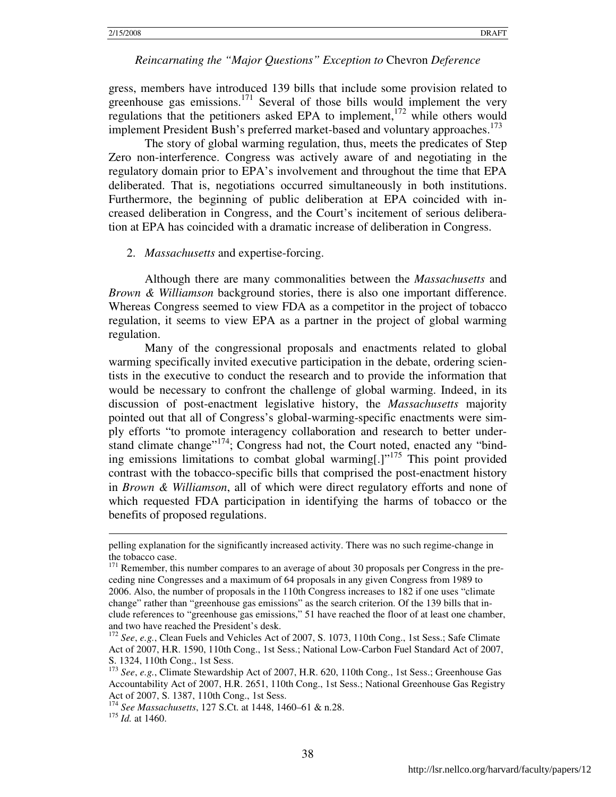gress, members have introduced 139 bills that include some provision related to greenhouse gas emissions.<sup>171</sup> Several of those bills would implement the very regulations that the petitioners asked EPA to implement,<sup>172</sup> while others would implement President Bush's preferred market-based and voluntary approaches.<sup>173</sup>

The story of global warming regulation, thus, meets the predicates of Step Zero non-interference. Congress was actively aware of and negotiating in the regulatory domain prior to EPA's involvement and throughout the time that EPA deliberated. That is, negotiations occurred simultaneously in both institutions. Furthermore, the beginning of public deliberation at EPA coincided with increased deliberation in Congress, and the Court's incitement of serious deliberation at EPA has coincided with a dramatic increase of deliberation in Congress.

#### 2. *Massachusetts* and expertise-forcing.

Although there are many commonalities between the *Massachusetts* and *Brown & Williamson* background stories, there is also one important difference. Whereas Congress seemed to view FDA as a competitor in the project of tobacco regulation, it seems to view EPA as a partner in the project of global warming regulation.

Many of the congressional proposals and enactments related to global warming specifically invited executive participation in the debate, ordering scientists in the executive to conduct the research and to provide the information that would be necessary to confront the challenge of global warming. Indeed, in its discussion of post-enactment legislative history, the *Massachusetts* majority pointed out that all of Congress's global-warming-specific enactments were simply efforts "to promote interagency collaboration and research to better understand climate change"<sup>174</sup>; Congress had not, the Court noted, enacted any "binding emissions limitations to combat global warming[.] $v^{175}$  This point provided contrast with the tobacco-specific bills that comprised the post-enactment history in *Brown & Williamson*, all of which were direct regulatory efforts and none of which requested FDA participation in identifying the harms of tobacco or the benefits of proposed regulations.

pelling explanation for the significantly increased activity. There was no such regime-change in the tobacco case.

 $171$  Remember, this number compares to an average of about 30 proposals per Congress in the preceding nine Congresses and a maximum of 64 proposals in any given Congress from 1989 to 2006. Also, the number of proposals in the 110th Congress increases to 182 if one uses "climate change" rather than "greenhouse gas emissions" as the search criterion. Of the 139 bills that include references to "greenhouse gas emissions," 51 have reached the floor of at least one chamber, and two have reached the President's desk.

<sup>172</sup> *See*, *e.g.*, Clean Fuels and Vehicles Act of 2007, S. 1073, 110th Cong., 1st Sess.; Safe Climate Act of 2007, H.R. 1590, 110th Cong., 1st Sess.; National Low-Carbon Fuel Standard Act of 2007, S. 1324, 110th Cong., 1st Sess.

<sup>173</sup> *See*, *e.g.*, Climate Stewardship Act of 2007, H.R. 620, 110th Cong., 1st Sess.; Greenhouse Gas Accountability Act of 2007, H.R. 2651, 110th Cong., 1st Sess.; National Greenhouse Gas Registry Act of 2007, S. 1387, 110th Cong., 1st Sess.

<sup>174</sup> *See Massachusetts*, 127 S.Ct. at 1448, 1460–61 & n.28.

<sup>175</sup> *Id.* at 1460.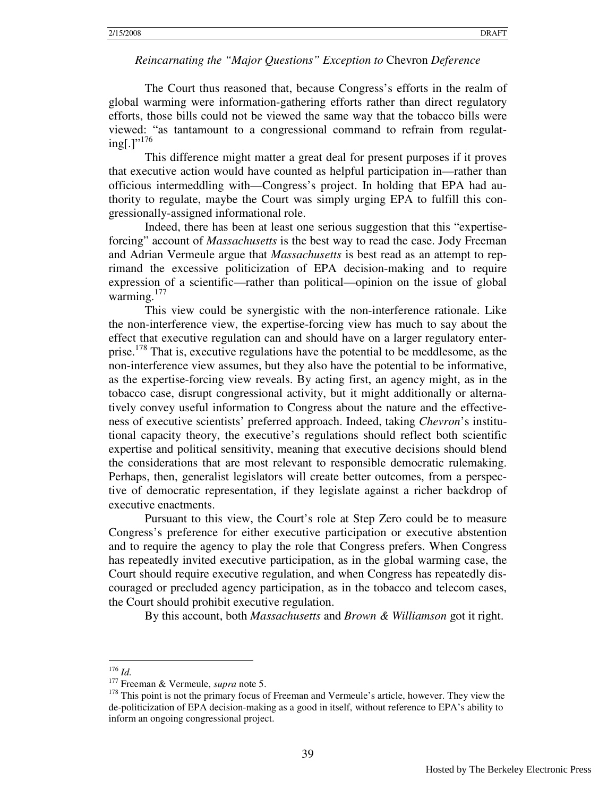The Court thus reasoned that, because Congress's efforts in the realm of global warming were information-gathering efforts rather than direct regulatory efforts, those bills could not be viewed the same way that the tobacco bills were viewed: "as tantamount to a congressional command to refrain from regulat $ing[.]$ "<sup>176</sup>

 This difference might matter a great deal for present purposes if it proves that executive action would have counted as helpful participation in—rather than officious intermeddling with—Congress's project. In holding that EPA had authority to regulate, maybe the Court was simply urging EPA to fulfill this congressionally-assigned informational role.

 Indeed, there has been at least one serious suggestion that this "expertiseforcing" account of *Massachusetts* is the best way to read the case. Jody Freeman and Adrian Vermeule argue that *Massachusetts* is best read as an attempt to reprimand the excessive politicization of EPA decision-making and to require expression of a scientific—rather than political—opinion on the issue of global warming. $177$ 

 This view could be synergistic with the non-interference rationale. Like the non-interference view, the expertise-forcing view has much to say about the effect that executive regulation can and should have on a larger regulatory enterprise.<sup>178</sup> That is, executive regulations have the potential to be meddlesome, as the non-interference view assumes, but they also have the potential to be informative, as the expertise-forcing view reveals. By acting first, an agency might, as in the tobacco case, disrupt congressional activity, but it might additionally or alternatively convey useful information to Congress about the nature and the effectiveness of executive scientists' preferred approach. Indeed, taking *Chevron*'s institutional capacity theory, the executive's regulations should reflect both scientific expertise and political sensitivity, meaning that executive decisions should blend the considerations that are most relevant to responsible democratic rulemaking. Perhaps, then, generalist legislators will create better outcomes, from a perspective of democratic representation, if they legislate against a richer backdrop of executive enactments.

 Pursuant to this view, the Court's role at Step Zero could be to measure Congress's preference for either executive participation or executive abstention and to require the agency to play the role that Congress prefers. When Congress has repeatedly invited executive participation, as in the global warming case, the Court should require executive regulation, and when Congress has repeatedly discouraged or precluded agency participation, as in the tobacco and telecom cases, the Court should prohibit executive regulation.

By this account, both *Massachusetts* and *Brown & Williamson* got it right.

 $\overline{a}$ <sup>176</sup> *Id.*

<sup>177</sup> Freeman & Vermeule, *supra* note 5.

<sup>&</sup>lt;sup>178</sup> This point is not the primary focus of Freeman and Vermeule's article, however. They view the de-politicization of EPA decision-making as a good in itself, without reference to EPA's ability to inform an ongoing congressional project.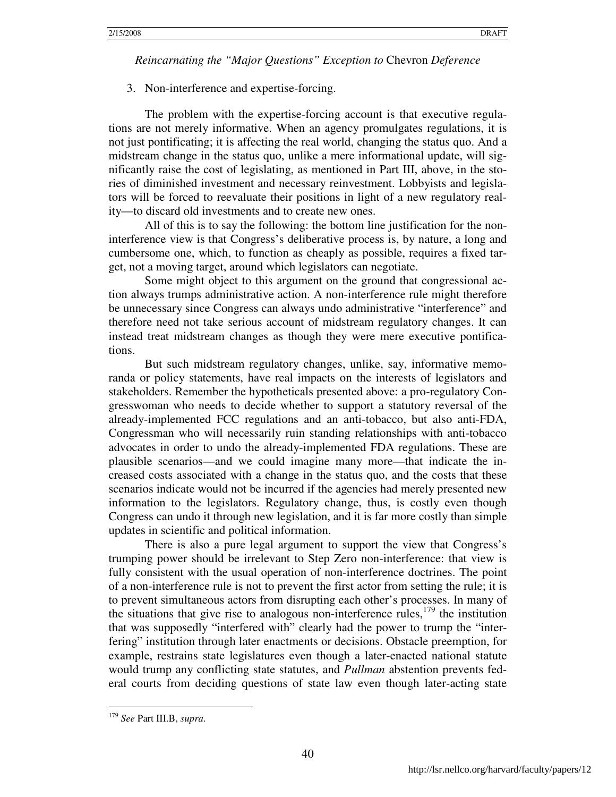3. Non-interference and expertise-forcing.

The problem with the expertise-forcing account is that executive regulations are not merely informative. When an agency promulgates regulations, it is not just pontificating; it is affecting the real world, changing the status quo. And a midstream change in the status quo, unlike a mere informational update, will significantly raise the cost of legislating, as mentioned in Part III, above, in the stories of diminished investment and necessary reinvestment. Lobbyists and legislators will be forced to reevaluate their positions in light of a new regulatory reality—to discard old investments and to create new ones.

All of this is to say the following: the bottom line justification for the noninterference view is that Congress's deliberative process is, by nature, a long and cumbersome one, which, to function as cheaply as possible, requires a fixed target, not a moving target, around which legislators can negotiate.

Some might object to this argument on the ground that congressional action always trumps administrative action. A non-interference rule might therefore be unnecessary since Congress can always undo administrative "interference" and therefore need not take serious account of midstream regulatory changes. It can instead treat midstream changes as though they were mere executive pontifications.

But such midstream regulatory changes, unlike, say, informative memoranda or policy statements, have real impacts on the interests of legislators and stakeholders. Remember the hypotheticals presented above: a pro-regulatory Congresswoman who needs to decide whether to support a statutory reversal of the already-implemented FCC regulations and an anti-tobacco, but also anti-FDA, Congressman who will necessarily ruin standing relationships with anti-tobacco advocates in order to undo the already-implemented FDA regulations. These are plausible scenarios—and we could imagine many more—that indicate the increased costs associated with a change in the status quo, and the costs that these scenarios indicate would not be incurred if the agencies had merely presented new information to the legislators. Regulatory change, thus, is costly even though Congress can undo it through new legislation, and it is far more costly than simple updates in scientific and political information.

There is also a pure legal argument to support the view that Congress's trumping power should be irrelevant to Step Zero non-interference: that view is fully consistent with the usual operation of non-interference doctrines. The point of a non-interference rule is not to prevent the first actor from setting the rule; it is to prevent simultaneous actors from disrupting each other's processes. In many of the situations that give rise to analogous non-interference rules, $179$  the institution that was supposedly "interfered with" clearly had the power to trump the "interfering" institution through later enactments or decisions. Obstacle preemption, for example, restrains state legislatures even though a later-enacted national statute would trump any conflicting state statutes, and *Pullman* abstention prevents federal courts from deciding questions of state law even though later-acting state

<sup>179</sup> *See* Part III.B, *supra*.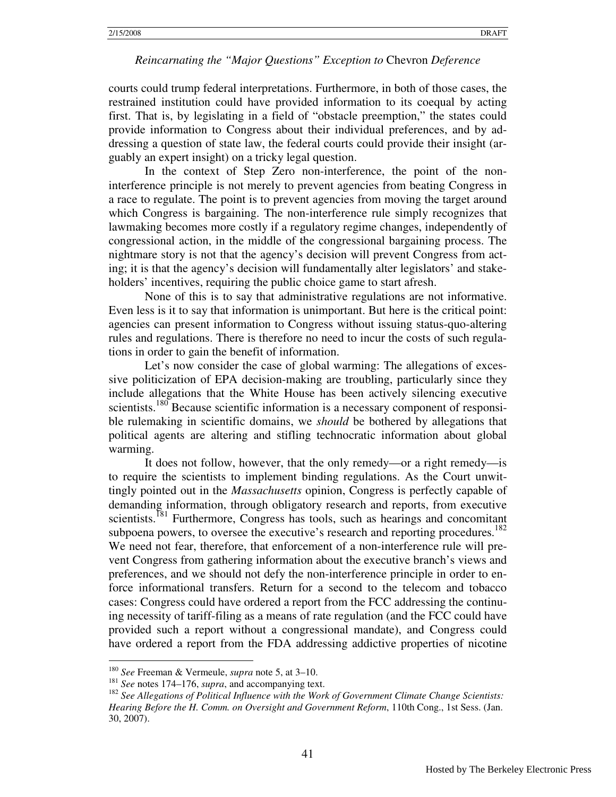courts could trump federal interpretations. Furthermore, in both of those cases, the restrained institution could have provided information to its coequal by acting first. That is, by legislating in a field of "obstacle preemption," the states could provide information to Congress about their individual preferences, and by addressing a question of state law, the federal courts could provide their insight (arguably an expert insight) on a tricky legal question.

In the context of Step Zero non-interference, the point of the noninterference principle is not merely to prevent agencies from beating Congress in a race to regulate. The point is to prevent agencies from moving the target around which Congress is bargaining. The non-interference rule simply recognizes that lawmaking becomes more costly if a regulatory regime changes, independently of congressional action, in the middle of the congressional bargaining process. The nightmare story is not that the agency's decision will prevent Congress from acting; it is that the agency's decision will fundamentally alter legislators' and stakeholders' incentives, requiring the public choice game to start afresh.

None of this is to say that administrative regulations are not informative. Even less is it to say that information is unimportant. But here is the critical point: agencies can present information to Congress without issuing status-quo-altering rules and regulations. There is therefore no need to incur the costs of such regulations in order to gain the benefit of information.

Let's now consider the case of global warming: The allegations of excessive politicization of EPA decision-making are troubling, particularly since they include allegations that the White House has been actively silencing executive scientists.<sup>180</sup> Because scientific information is a necessary component of responsible rulemaking in scientific domains, we *should* be bothered by allegations that political agents are altering and stifling technocratic information about global warming.

It does not follow, however, that the only remedy—or a right remedy—is to require the scientists to implement binding regulations. As the Court unwittingly pointed out in the *Massachusetts* opinion, Congress is perfectly capable of demanding information, through obligatory research and reports, from executive scientists.<sup>181</sup> Furthermore, Congress has tools, such as hearings and concomitant subpoena powers, to oversee the executive's research and reporting procedures.<sup>182</sup> We need not fear, therefore, that enforcement of a non-interference rule will prevent Congress from gathering information about the executive branch's views and preferences, and we should not defy the non-interference principle in order to enforce informational transfers. Return for a second to the telecom and tobacco cases: Congress could have ordered a report from the FCC addressing the continuing necessity of tariff-filing as a means of rate regulation (and the FCC could have provided such a report without a congressional mandate), and Congress could have ordered a report from the FDA addressing addictive properties of nicotine

<sup>180</sup> *See* Freeman & Vermeule, *supra* note 5, at 3–10.

<sup>181</sup> *See* notes 174–176, *supra*, and accompanying text.

<sup>182</sup> *See Allegations of Political Influence with the Work of Government Climate Change Scientists: Hearing Before the H. Comm. on Oversight and Government Reform*, 110th Cong., 1st Sess. (Jan. 30, 2007).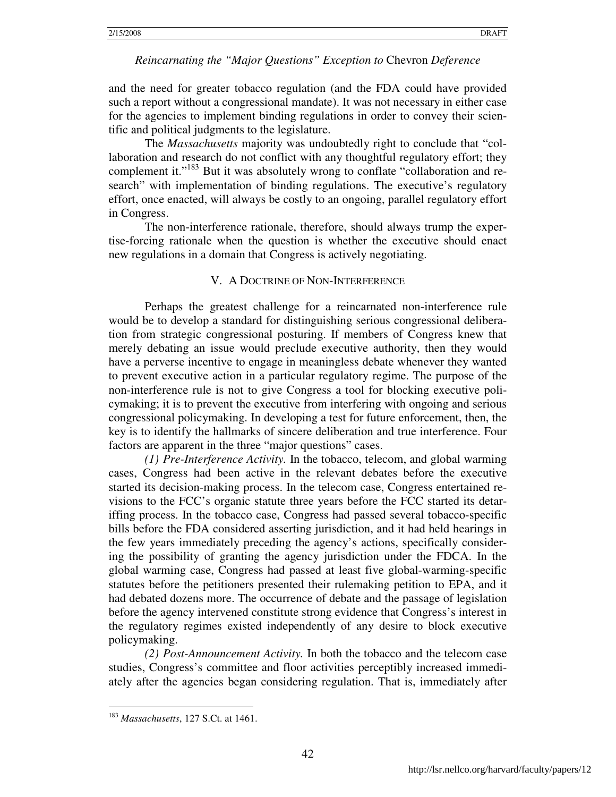and the need for greater tobacco regulation (and the FDA could have provided such a report without a congressional mandate). It was not necessary in either case for the agencies to implement binding regulations in order to convey their scientific and political judgments to the legislature.

The *Massachusetts* majority was undoubtedly right to conclude that "collaboration and research do not conflict with any thoughtful regulatory effort; they complement it."<sup>183</sup> But it was absolutely wrong to conflate "collaboration and research" with implementation of binding regulations. The executive's regulatory effort, once enacted, will always be costly to an ongoing, parallel regulatory effort in Congress.

The non-interference rationale, therefore, should always trump the expertise-forcing rationale when the question is whether the executive should enact new regulations in a domain that Congress is actively negotiating.

### V. A DOCTRINE OF NON-INTERFERENCE

Perhaps the greatest challenge for a reincarnated non-interference rule would be to develop a standard for distinguishing serious congressional deliberation from strategic congressional posturing. If members of Congress knew that merely debating an issue would preclude executive authority, then they would have a perverse incentive to engage in meaningless debate whenever they wanted to prevent executive action in a particular regulatory regime. The purpose of the non-interference rule is not to give Congress a tool for blocking executive policymaking; it is to prevent the executive from interfering with ongoing and serious congressional policymaking. In developing a test for future enforcement, then, the key is to identify the hallmarks of sincere deliberation and true interference. Four factors are apparent in the three "major questions" cases.

*(1) Pre-Interference Activity.* In the tobacco, telecom, and global warming cases, Congress had been active in the relevant debates before the executive started its decision-making process. In the telecom case, Congress entertained revisions to the FCC's organic statute three years before the FCC started its detariffing process. In the tobacco case, Congress had passed several tobacco-specific bills before the FDA considered asserting jurisdiction, and it had held hearings in the few years immediately preceding the agency's actions, specifically considering the possibility of granting the agency jurisdiction under the FDCA. In the global warming case, Congress had passed at least five global-warming-specific statutes before the petitioners presented their rulemaking petition to EPA, and it had debated dozens more. The occurrence of debate and the passage of legislation before the agency intervened constitute strong evidence that Congress's interest in the regulatory regimes existed independently of any desire to block executive policymaking.

*(2) Post-Announcement Activity.* In both the tobacco and the telecom case studies, Congress's committee and floor activities perceptibly increased immediately after the agencies began considering regulation. That is, immediately after

<sup>183</sup> *Massachusetts*, 127 S.Ct. at 1461.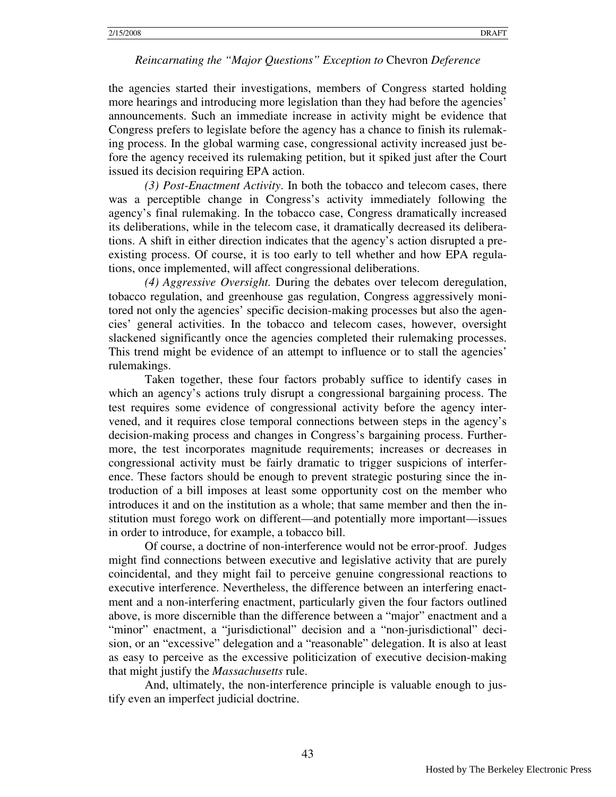the agencies started their investigations, members of Congress started holding more hearings and introducing more legislation than they had before the agencies' announcements. Such an immediate increase in activity might be evidence that Congress prefers to legislate before the agency has a chance to finish its rulemaking process. In the global warming case, congressional activity increased just before the agency received its rulemaking petition, but it spiked just after the Court issued its decision requiring EPA action.

*(3) Post-Enactment Activity*. In both the tobacco and telecom cases, there was a perceptible change in Congress's activity immediately following the agency's final rulemaking. In the tobacco case, Congress dramatically increased its deliberations, while in the telecom case, it dramatically decreased its deliberations. A shift in either direction indicates that the agency's action disrupted a preexisting process. Of course, it is too early to tell whether and how EPA regulations, once implemented, will affect congressional deliberations.

*(4) Aggressive Oversight.* During the debates over telecom deregulation, tobacco regulation, and greenhouse gas regulation, Congress aggressively monitored not only the agencies' specific decision-making processes but also the agencies' general activities. In the tobacco and telecom cases, however, oversight slackened significantly once the agencies completed their rulemaking processes. This trend might be evidence of an attempt to influence or to stall the agencies' rulemakings.

Taken together, these four factors probably suffice to identify cases in which an agency's actions truly disrupt a congressional bargaining process. The test requires some evidence of congressional activity before the agency intervened, and it requires close temporal connections between steps in the agency's decision-making process and changes in Congress's bargaining process. Furthermore, the test incorporates magnitude requirements; increases or decreases in congressional activity must be fairly dramatic to trigger suspicions of interference. These factors should be enough to prevent strategic posturing since the introduction of a bill imposes at least some opportunity cost on the member who introduces it and on the institution as a whole; that same member and then the institution must forego work on different—and potentially more important—issues in order to introduce, for example, a tobacco bill.

Of course, a doctrine of non-interference would not be error-proof. Judges might find connections between executive and legislative activity that are purely coincidental, and they might fail to perceive genuine congressional reactions to executive interference. Nevertheless, the difference between an interfering enactment and a non-interfering enactment, particularly given the four factors outlined above, is more discernible than the difference between a "major" enactment and a "minor" enactment, a "jurisdictional" decision and a "non-jurisdictional" decision, or an "excessive" delegation and a "reasonable" delegation. It is also at least as easy to perceive as the excessive politicization of executive decision-making that might justify the *Massachusetts* rule.

And, ultimately, the non-interference principle is valuable enough to justify even an imperfect judicial doctrine.